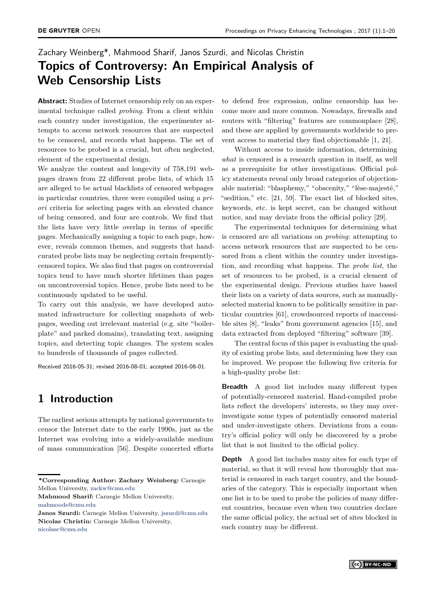# Zachary Weinberg\*, Mahmood Sharif, Janos Szurdi, and Nicolas Christin **Topics of Controversy: An Empirical Analysis of Web Censorship Lists**

**Abstract:** Studies of Internet censorship rely on an experimental technique called *probing*. From a client within each country under investigation, the experimenter attempts to access network resources that are suspected to be censored, and records what happens. The set of resources to be probed is a crucial, but often neglected, element of the experimental design.

We analyze the content and longevity of 758,191 webpages drawn from 22 different probe lists, of which 15 are alleged to be actual blacklists of censored webpages in particular countries, three were compiled using *a priori* criteria for selecting pages with an elevated chance of being censored, and four are controls. We find that the lists have very little overlap in terms of specific pages. Mechanically assigning a topic to each page, however, reveals common themes, and suggests that handcurated probe lists may be neglecting certain frequentlycensored topics. We also find that pages on controversial topics tend to have much shorter lifetimes than pages on uncontroversial topics. Hence, probe lists need to be continuously updated to be useful.

To carry out this analysis, we have developed automated infrastructure for collecting snapshots of webpages, weeding out irrelevant material (e.g. site "boilerplate" and parked domains), translating text, assigning topics, and detecting topic changes. The system scales to hundreds of thousands of pages collected.

Received 2016-05-31; revised 2016-08-01; accepted 2016-08-01.

# **1 Introduction**

The earliest serious attempts by national governments to censor the Internet date to the early 1990s, just as the Internet was evolving into a widely-available medium of mass communication [\[56\]](#page-17-0). Despite concerted efforts

to defend free expression, online censorship has become more and more common. Nowadays, firewalls and routers with "filtering" features are commonplace [\[28\]](#page-16-0), and these are applied by governments worldwide to prevent access to material they find objectionable [\[1,](#page-15-0) [21\]](#page-16-1).

Without access to inside information, determining *what* is censored is a research question in itself, as well as a prerequisite for other investigations. Official policy statements reveal only broad categories of objectionable material: "blasphemy," "obscenity," "lèse-majesté," "sedition," etc. [\[21,](#page-16-1) [59\]](#page-17-1). The exact list of blocked sites, keywords, etc. is kept secret, can be changed without notice, and may deviate from the official policy [\[29\]](#page-16-2).

The experimental techniques for determining what is censored are all variations on *probing*: attempting to access network resources that are suspected to be censored from a client within the country under investigation, and recording what happens. The *probe list*, the set of resources to be probed, is a crucial element of the experimental design. Previous studies have based their lists on a variety of data sources, such as manuallyselected material known to be politically sensitive in particular countries [\[61\]](#page-17-2), crowdsourced reports of inaccessible sites [\[8\]](#page-15-1), "leaks" from government agencies [\[15\]](#page-15-2), and data extracted from deployed "filtering" software [\[39\]](#page-16-3).

The central focus of this paper is evaluating the quality of existing probe lists, and determining how they can be improved. We propose the following five criteria for a high-quality probe list:

**Breadth** A good list includes many different types of potentially-censored material. Hand-compiled probe lists reflect the developers' interests, so they may overinvestigate some types of potentially censored material and under-investigate others. Deviations from a country's official policy will only be discovered by a probe list that is not limited to the official policy.

**Depth** A good list includes many sites for each type of material, so that it will reveal how thoroughly that material is censored in each target country, and the boundaries of the category. This is especially important when one list is to be used to probe the policies of many different countries, because even when two countries declare the same official policy, the actual set of sites blocked in each country may be different.

**<sup>\*</sup>Corresponding Author: Zachary Weinberg:** Carnegie Mellon University, [zackw@cmu.edu](mailto:zackw@cmu.edu)

**Mahmood Sharif:** Carnegie Mellon University, [mahmoods@cmu.edu](mailto:mahmoods@cmu.edu)

**Janos Szurdi:** Carnegie Mellon University, [jszurdi@cmu.edu](mailto:jszurdi@cmu.edu) **Nicolas Christin:** Carnegie Mellon University, [nicolasc@cmu.edu](mailto:nicolasc@cmu.edu)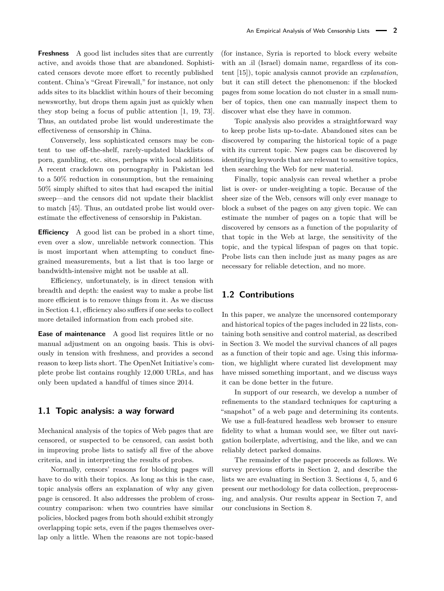**Freshness** A good list includes sites that are currently active, and avoids those that are abandoned. Sophisticated censors devote more effort to recently published content. China's "Great Firewall," for instance, not only adds sites to its blacklist within hours of their becoming newsworthy, but drops them again just as quickly when they stop being a focus of public attention [\[1,](#page-15-0) [19,](#page-16-4) [73\]](#page-17-3). Thus, an outdated probe list would underestimate the effectiveness of censorship in China.

Conversely, less sophisticated censors may be content to use off-the-shelf, rarely-updated blacklists of porn, gambling, etc. sites, perhaps with local additions. A recent crackdown on pornography in Pakistan led to a 50% reduction in consumption, but the remaining 50% simply shifted to sites that had escaped the initial sweep—and the censors did not update their blacklist to match [\[45\]](#page-16-5). Thus, an outdated probe list would overestimate the effectiveness of censorship in Pakistan.

**Efficiency** A good list can be probed in a short time, even over a slow, unreliable network connection. This is most important when attempting to conduct finegrained measurements, but a list that is too large or bandwidth-intensive might not be usable at all.

Efficiency, unfortunately, is in direct tension with breadth and depth: the easiest way to make a probe list more efficient is to remove things from it. As we discuss in Section [4.1,](#page-5-0) efficiency also suffers if one seeks to collect more detailed information from each probed site.

**Ease of maintenance** A good list requires little or no manual adjustment on an ongoing basis. This is obviously in tension with freshness, and provides a second reason to keep lists short. The OpenNet Initiative's complete probe list contains roughly 12,000 URLs, and has only been updated a handful of times since 2014.

### **1.1 Topic analysis: a way forward**

Mechanical analysis of the topics of Web pages that are censored, or suspected to be censored, can assist both in improving probe lists to satisfy all five of the above criteria, and in interpreting the results of probes.

Normally, censors' reasons for blocking pages will have to do with their topics. As long as this is the case, topic analysis offers an explanation of why any given page is censored. It also addresses the problem of crosscountry comparison: when two countries have similar policies, blocked pages from both should exhibit strongly overlapping topic sets, even if the pages themselves overlap only a little. When the reasons are not topic-based

(for instance, Syria is reported to block every website with an .il (Israel) domain name, regardless of its content [\[15\]](#page-15-2)), topic analysis cannot provide an *explanation*, but it can still detect the phenomenon: if the blocked pages from some location do not cluster in a small number of topics, then one can manually inspect them to discover what else they have in common.

Topic analysis also provides a straightforward way to keep probe lists up-to-date. Abandoned sites can be discovered by comparing the historical topic of a page with its current topic. New pages can be discovered by identifying keywords that are relevant to sensitive topics, then searching the Web for new material.

Finally, topic analysis can reveal whether a probe list is over- or under-weighting a topic. Because of the sheer size of the Web, censors will only ever manage to block a subset of the pages on any given topic. We can estimate the number of pages on a topic that will be discovered by censors as a function of the popularity of that topic in the Web at large, the sensitivity of the topic, and the typical lifespan of pages on that topic. Probe lists can then include just as many pages as are necessary for reliable detection, and no more.

### **1.2 Contributions**

In this paper, we analyze the uncensored contemporary and historical topics of the pages included in 22 lists, containing both sensitive and control material, as described in Section [3.](#page-2-0) We model the survival chances of all pages as a function of their topic and age. Using this information, we highlight where curated list development may have missed something important, and we discuss ways it can be done better in the future.

In support of our research, we develop a number of refinements to the standard techniques for capturing a "snapshot" of a web page and determining its contents. We use a full-featured headless web browser to ensure fidelity to what a human would see, we filter out navigation boilerplate, advertising, and the like, and we can reliably detect parked domains.

The remainder of the paper proceeds as follows. We survey previous efforts in Section [2,](#page-2-1) and describe the lists we are evaluating in Section [3.](#page-2-0) Sections [4,](#page-5-1) [5,](#page-6-0) and [6](#page-8-0) present our methodology for data collection, preprocessing, and analysis. Our results appear in Section [7,](#page-10-0) and our conclusions in Section [8.](#page-14-0)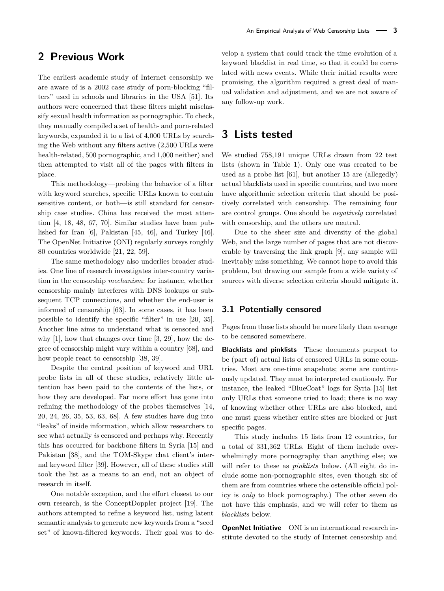### <span id="page-2-1"></span>**2 Previous Work**

The earliest academic study of Internet censorship we are aware of is a 2002 case study of porn-blocking "filters" used in schools and libraries in the USA [\[51\]](#page-16-6). Its authors were concerned that these filters might misclassify sexual health information as pornographic. To check, they manually compiled a set of health- and porn-related keywords, expanded it to a list of 4,000 URLs by searching the Web without any filters active (2,500 URLs were health-related, 500 pornographic, and 1,000 neither) and then attempted to visit all of the pages with filters in place.

This methodology—probing the behavior of a filter with keyword searches, specific URLs known to contain sensitive content, or both—is still standard for censorship case studies. China has received the most attention [\[4,](#page-15-3) [18,](#page-16-7) [48,](#page-16-8) [67,](#page-17-4) [70\]](#page-17-5). Similar studies have been published for Iran [\[6\]](#page-15-4), Pakistan [\[45,](#page-16-5) [46\]](#page-16-9), and Turkey [\[46\]](#page-16-9). The OpenNet Initiative (ONI) regularly surveys roughly 80 countries worldwide [\[21,](#page-16-1) [22,](#page-16-10) [59\]](#page-17-1).

The same methodology also underlies broader studies. One line of research investigates inter-country variation in the censorship *mechanism*: for instance, whether censorship mainly interferes with DNS lookups or subsequent TCP connections, and whether the end-user is informed of censorship [\[63\]](#page-17-6). In some cases, it has been possible to identify the specific "filter" in use [\[20,](#page-16-11) [35\]](#page-16-12). Another line aims to understand what is censored and why [\[1\]](#page-15-0), how that changes over time [\[3,](#page-15-5) [29\]](#page-16-2), how the degree of censorship might vary within a country [\[68\]](#page-17-7), and how people react to censorship [\[38,](#page-16-13) [39\]](#page-16-3).

Despite the central position of keyword and URL probe lists in all of these studies, relatively little attention has been paid to the contents of the lists, or how they are developed. Far more effort has gone into refining the methodology of the probes themselves [\[14,](#page-15-6) [20,](#page-16-11) [24,](#page-16-14) [26,](#page-16-15) [35,](#page-16-12) [53,](#page-17-8) [63,](#page-17-6) [68\]](#page-17-7). A few studies have dug into "leaks" of inside information, which allow researchers to see what actually *is* censored and perhaps why. Recently this has occurred for backbone filters in Syria [\[15\]](#page-15-2) and Pakistan [\[38\]](#page-16-13), and the TOM-Skype chat client's internal keyword filter [\[39\]](#page-16-3). However, all of these studies still took the list as a means to an end, not an object of research in itself.

One notable exception, and the effort closest to our own research, is the ConceptDoppler project [\[19\]](#page-16-4). The authors attempted to refine a keyword list, using latent semantic analysis to generate new keywords from a "seed set" of known-filtered keywords. Their goal was to develop a system that could track the time evolution of a keyword blacklist in real time, so that it could be correlated with news events. While their initial results were promising, the algorithm required a great deal of manual validation and adjustment, and we are not aware of any follow-up work.

### <span id="page-2-0"></span>**3 Lists tested**

We studied 758,191 unique URLs drawn from 22 test lists (shown in Table [1\)](#page-4-0). Only one was created to be used as a probe list [\[61\]](#page-17-2), but another 15 are (allegedly) actual blacklists used in specific countries, and two more have algorithmic selection criteria that should be positively correlated with censorship. The remaining four are control groups. One should be *negatively* correlated with censorship, and the others are neutral.

Due to the sheer size and diversity of the global Web, and the large number of pages that are not discoverable by traversing the link graph [\[9\]](#page-15-7), any sample will inevitably miss something. We cannot hope to avoid this problem, but drawing our sample from a wide variety of sources with diverse selection criteria should mitigate it.

### **3.1 Potentially censored**

Pages from these lists should be more likely than average to be censored somewhere.

**Blacklists and pinklists** These documents purport to be (part of) actual lists of censored URLs in some countries. Most are one-time snapshots; some are continuously updated. They must be interpreted cautiously. For instance, the leaked "BlueCoat" logs for Syria [\[15\]](#page-15-2) list only URLs that someone tried to load; there is no way of knowing whether other URLs are also blocked, and one must guess whether entire sites are blocked or just specific pages.

This study includes 15 lists from 12 countries, for a total of 331,362 URLs. Eight of them include overwhelmingly more pornography than anything else; we will refer to these as *pinklists* below. (All eight do include some non-pornographic sites, even though six of them are from countries where the ostensible official policy is *only* to block pornography.) The other seven do not have this emphasis, and we will refer to them as *blacklists* below.

**OpenNet Initiative** ONI is an international research institute devoted to the study of Internet censorship and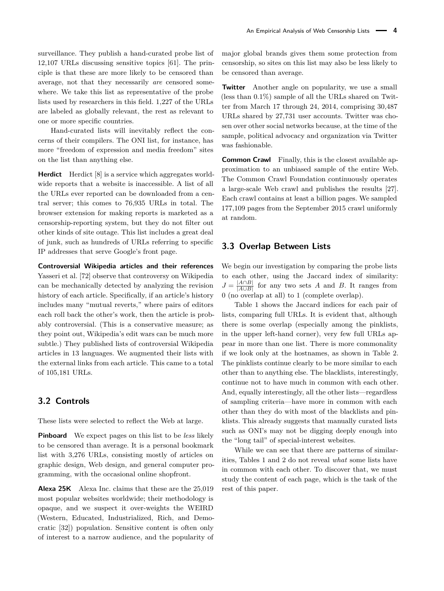surveillance. They publish a hand-curated probe list of 12,107 URLs discussing sensitive topics [\[61\]](#page-17-2). The principle is that these are more likely to be censored than average, not that they necessarily *are* censored somewhere. We take this list as representative of the probe lists used by researchers in this field. 1,227 of the URLs are labeled as globally relevant, the rest as relevant to one or more specific countries.

Hand-curated lists will inevitably reflect the concerns of their compilers. The ONI list, for instance, has more "freedom of expression and media freedom" sites on the list than anything else.

**Herdict** Herdict [\[8\]](#page-15-1) is a service which aggregates worldwide reports that a website is inaccessible. A list of all the URLs ever reported can be downloaded from a central server; this comes to 76,935 URLs in total. The browser extension for making reports is marketed as a censorship-reporting system, but they do not filter out other kinds of site outage. This list includes a great deal of junk, such as hundreds of URLs referring to specific IP addresses that serve Google's front page.

**Controversial Wikipedia articles and their references** Yasseri et al. [\[72\]](#page-17-9) observe that controversy on Wikipedia can be mechanically detected by analyzing the revision history of each article. Specifically, if an article's history includes many "mutual reverts," where pairs of editors each roll back the other's work, then the article is probably controversial. (This is a conservative measure; as they point out, Wikipedia's edit wars can be much more subtle.) They published lists of controversial Wikipedia articles in 13 languages. We augmented their lists with the external links from each article. This came to a total of 105,181 URLs.

### **3.2 Controls**

These lists were selected to reflect the Web at large.

**Pinboard** We expect pages on this list to be *less* likely to be censored than average. It is a personal bookmark list with 3,276 URLs, consisting mostly of articles on graphic design, Web design, and general computer programming, with the occasional online shopfront.

**Alexa 25K** Alexa Inc. claims that these are the 25,019 most popular websites worldwide; their methodology is opaque, and we suspect it over-weights the WEIRD (Western, Educated, Industrialized, Rich, and Democratic [\[32\]](#page-16-16)) population. Sensitive content is often only of interest to a narrow audience, and the popularity of major global brands gives them some protection from censorship, so sites on this list may also be less likely to be censored than average.

**Twitter** Another angle on popularity, we use a small (less than 0.1%) sample of all the URLs shared on Twitter from March 17 through 24, 2014, comprising 30,487 URLs shared by 27,731 user accounts. Twitter was chosen over other social networks because, at the time of the sample, political advocacy and organization via Twitter was fashionable.

**Common Crawl** Finally, this is the closest available approximation to an unbiased sample of the entire Web. The Common Crawl Foundation continuously operates a large-scale Web crawl and publishes the results [\[27\]](#page-16-17). Each crawl contains at least a billion pages. We sampled 177,109 pages from the September 2015 crawl uniformly at random.

### **3.3 Overlap Between Lists**

We begin our investigation by comparing the probe lists to each other, using the Jaccard index of similarity:  $J = \frac{|A \cap B|}{|A \cup B|}$  $\frac{|A||B|}{|A\cup B|}$  for any two sets *A* and *B*. It ranges from 0 (no overlap at all) to 1 (complete overlap).

Table [1](#page-4-0) shows the Jaccard indices for each pair of lists, comparing full URLs. It is evident that, although there is some overlap (especially among the pinklists, in the upper left-hand corner), very few full URLs appear in more than one list. There is more commonality if we look only at the hostnames, as shown in Table [2.](#page-4-1) The pinklists continue clearly to be more similar to each other than to anything else. The blacklists, interestingly, continue not to have much in common with each other. And, equally interestingly, all the other lists—regardless of sampling criteria—have more in common with each other than they do with most of the blacklists and pinklists. This already suggests that manually curated lists such as ONI's may not be digging deeply enough into the "long tail" of special-interest websites.

While we can see that there are patterns of similarities, Tables [1](#page-4-0) and [2](#page-4-1) do not reveal *what* some lists have in common with each other. To discover that, we must study the content of each page, which is the task of the rest of this paper.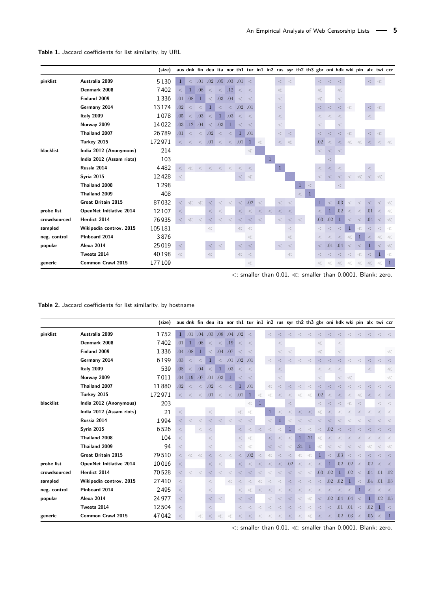|              |                           | (size)  |                |             |              |              |              |         |                         |         |       |              |       |         | aus dnk fin deu ita nor th1 tur in1 in2 rus syr th2 th3 gbr oni hdk wki pin alx twi ccr |         |              |         |         |              |              |       |          |
|--------------|---------------------------|---------|----------------|-------------|--------------|--------------|--------------|---------|-------------------------|---------|-------|--------------|-------|---------|-----------------------------------------------------------------------------------------|---------|--------------|---------|---------|--------------|--------------|-------|----------|
| pinklist     | Australia 2009            | 5 1 3 0 |                | $\,<\,$     | .01          |              |              |         | $.02$ $.05$ $.03$ $.01$ | $\,<$   |       |              | $\,<$ |         |                                                                                         | $\,<\,$ |              |         |         |              |              |       |          |
|              | Denmark 2008              | 7402    | $\,<\,$        | 1           | .08          | $\,<\,$      | $\,<\,$      | .12     | $\,<\,$                 | $\,<\,$ |       |              | $\ll$ |         |                                                                                         | $\ll$   |              |         |         |              |              |       |          |
|              | Finland 2009              | 1336    | .01            | .08         | $\mathbf{1}$ |              | $<$ .03      | .04     | $\,<\,$                 |         |       |              | $\,<$ |         |                                                                                         | $\ll$   |              |         |         |              |              |       |          |
|              | Germany 2014              | 13174   | $.02\,$        | $\,<\,$     |              | $\mathbf{1}$ |              | $\,<\,$ | $.02$ $.01$             |         |       |              | $\,<$ |         |                                                                                         | $\,<\,$ | $\,<\,$      | $\,<\,$ | $\ll$   |              | $\,<$        |       |          |
|              | Italy 2009                | 1078    | .05            | $\,<\,$     | .03          | $\,<\,$      | $\mathbf{1}$ | .03     | $\,<\,$                 | $\,<\,$ |       |              | $\,<$ |         |                                                                                         | $\,<\,$ | $\,<\,$      | $\,<\,$ |         |              | $\,<$        |       |          |
|              | Norway 2009               | 14022   | .03            | $.12$ $.04$ |              | $\,<\,$      | .03          |         |                         |         |       |              |       |         |                                                                                         |         |              |         |         |              |              |       |          |
|              | Thailand 2007             | 26789   | .01            | $\,<\,$     | $\,<\,$      | .02          | $\,<\,$      | $\,<\,$ |                         | .01     |       |              | $\,<$ |         |                                                                                         | $\,<$   | $\,<$        | $\,<$   | $\ll$   |              | $\,<$        |       |          |
|              | Turkey 2015               | 172971  | $\overline{<}$ | $\,<\,$     | $\,<\,$      | .01          | $\,<$        | $\,<\,$ | .01                     | -1      | $\ll$ |              | $\lt$ | $\ll$   |                                                                                         | .02     |              | $\,<\,$ | $\ll$   |              |              |       |          |
| blacklist    | India 2012 (Anonymous)    | 214     |                |             |              |              |              |         |                         | $\ll$   | п     |              |       |         |                                                                                         | $\,<\,$ |              |         |         |              |              |       |          |
|              | India 2012 (Assam riots)  | 103     |                |             |              |              |              |         |                         |         |       | $\mathbf{1}$ |       |         |                                                                                         |         | <            |         |         |              |              |       |          |
|              | Russia 2014               | 4482    |                |             |              |              |              |         |                         |         |       |              | 1     |         |                                                                                         | $\,<\,$ |              |         |         |              |              |       |          |
|              | <b>Syria 2015</b>         | 12428   |                |             |              |              |              |         |                         | $\ll$   |       |              |       |         |                                                                                         | $\,<\,$ | $\,<$        | $\,<\,$ | $\,<\,$ |              |              |       |          |
|              | Thailand 2008             | 1298    |                |             |              |              |              |         |                         |         |       |              |       |         |                                                                                         |         |              | $\,<\,$ |         |              |              |       |          |
|              | Thailand 2009             | 408     |                |             |              |              |              |         |                         |         |       |              |       |         | $\,<\,$                                                                                 |         |              |         |         |              |              |       |          |
|              | <b>Great Britain 2015</b> | 87032   | $\,<$          | $\ll$       | $\ll$        |              |              |         | $\,<\,$                 | .02     |       |              | $\,<$ | $\,<\,$ |                                                                                         | 1       | $\,<\,$      | .03     |         |              |              |       |          |
| probe list   | OpenNet Initiative 2014   | 12 10 7 | $\,<\,$        |             |              | $\,<$        |              |         |                         |         |       |              |       |         |                                                                                         | $\,<\,$ | $\mathbf{1}$ | .02     |         | $\,<\,$      | .01          |       | $\ll$    |
| crowdsourced | Herdict 2014              | 76935   | $\,<\,$        | $\ll$       |              |              | $\,<$        |         | $\,<\,$                 | $\,<\,$ |       |              | $\,<$ | $\,<$   | $\,<\,$                                                                                 | .03     | .02          |         |         | $\,<\,$      | .04          |       | $\ll$    |
| sampled      | Wikipedia controv. 2015   | 105 181 |                |             |              |              |              |         | $\ll$                   | $\ll$   |       |              |       | $\,<$   |                                                                                         | $\,<\,$ | <            | $\,<\,$ | 1       | $\ll$        | $\,<\,$      | C     | $\ll$    |
| neg. control | Pinboard 2014             | 3876    |                |             |              |              |              |         |                         |         |       |              |       |         |                                                                                         |         |              |         | $\ll$   | $\mathbf{1}$ | $\,<$        |       | $\ll$    |
| popular      | Alexa 2014                | 25019   | $\,<\,$        |             |              | $\,<\,$      | $\,<\,$      |         | $\,<\,$                 |         |       |              | $\,<$ |         |                                                                                         | $\lt$   | .01          | .04     | $\,<\,$ | $\,<\,$      | $\mathbf{1}$ | $\,<$ | $\ll$    |
|              | Tweets 2014               | 40 198  |                |             |              | $\ll$        |              |         | $\ll$                   |         |       |              |       |         |                                                                                         | $\,<\,$ |              |         |         |              |              |       | $\ll$    |
| generic      | Common Crawl 2015         | 177109  |                |             |              |              |              |         |                         | $\ll$   |       |              |       |         |                                                                                         | $\ll$   | $\ll$        | $\ll$   | $\ll$   | $\ll$        |              |       | <b>A</b> |

<span id="page-4-0"></span>**Table 1.** Jaccard coefficients for list similarity, by URL

 $\langle$ : smaller than 0.01.  $\langle$ : smaller than 0.0001. Blank: zero.

#### <span id="page-4-1"></span>**Table 2.** Jaccard coefficients for list similarity, by hostname

|              |                                | (size)  |         |           |         |         |         |         |             |         |       |              |                          |         | aus dnk fin deu ita nor th1 tur in1 in2 rus syr th2 th3 gbr oni hdk wki pin alx twi ccr |         |         |              |              |                |         |              |                   |             |
|--------------|--------------------------------|---------|---------|-----------|---------|---------|---------|---------|-------------|---------|-------|--------------|--------------------------|---------|-----------------------------------------------------------------------------------------|---------|---------|--------------|--------------|----------------|---------|--------------|-------------------|-------------|
| pinklist     | Australia 2009                 | 1752    |         | .01       | .04     | .03     | .08     |         | $.04$ $.02$ | $\,<\,$ |       |              | $\,<\,$                  |         |                                                                                         |         | $\,<$   | $\rm <$      | $\,<\,$      | ✓              |         | $\,<\,$      | $\,<\,$           |             |
|              | Denmark 2008                   | 7402    | .01     | 1         | .08     | $\,<\,$ | $\,<\,$ | .19     | $\,<\,$     | $\,<$   |       |              | $\,<\,$                  |         |                                                                                         |         |         |              |              |                |         |              |                   |             |
|              | Finland 2009                   | 1336    | .04     | .08       |         | $\,<\,$ | .04     | .07     | $\,<\,$     | <       |       |              | $\,<\,$                  | $\,<\,$ |                                                                                         |         | $\ll$   |              |              |                |         |              |                   | $\ll$       |
|              | Germany 2014                   | 6199    | .03     | $\,<\,$   |         | ◆       | $\,<\,$ | .01     | .02         | .01     |       | $\,<\,$      |                          |         |                                                                                         |         | $\,<\,$ | $\,<$        | $\,<\,$      |                |         |              |                   |             |
|              | Italy 2009                     | 539     | .08     | $\,<\,$   | .04     | $\,<\,$ | 1       | .03     | $\,<\,$     | $\,<$   |       |              | $\,<$                    |         |                                                                                         |         |         |              | $\,<\,$      |                |         |              |                   |             |
|              | Norway 2009                    | 7011    |         | $.04$ .19 | .07     | .01     | .03     | -1      | $\,<\,$     | $\,<$   |       |              | $\,<\,$                  |         |                                                                                         |         |         |              | $\,<$        | $\ll$          |         |              |                   | $\ll$       |
|              | Thailand 2007                  | 11880   | .02     | $\,<\,$   | $\,<$   | .02     |         |         | 1           | .01     |       | $\ll$        |                          |         |                                                                                         |         |         |              |              |                |         |              |                   |             |
|              | Turkey 2015                    | 172971  |         |           | $\,<\,$ | .01     | $\,<\,$ | $\,<$   | .01         |         | $\ll$ |              |                          |         | $\ll$                                                                                   | $\ll$   | .02     |              |              |                |         |              |                   |             |
| blacklist    | India 2012 (Anonymous)         | 203     |         |           |         |         |         |         |             | $\ll$   |       |              |                          | $\,<\,$ |                                                                                         |         | $\,<$   | $\,<$        | $\,<$        |                |         |              |                   |             |
|              | India 2012 (Assam riots)       | 21      |         |           |         |         |         |         |             | $\ll$   |       | $\mathbf{1}$ |                          |         |                                                                                         |         | $\ll$   |              |              |                |         |              |                   |             |
|              | Russia 2014                    | 1994    | $\,<\,$ |           |         |         |         | $\,<\,$ | <           |         |       | ←            |                          |         |                                                                                         |         |         | ←            |              |                |         |              |                   |             |
|              | Syria 2015                     | 6526    | $\,<\,$ |           |         |         |         |         | $\,<\,$     |         |       |              |                          |         |                                                                                         |         |         | .02          |              |                |         |              |                   |             |
|              | Thailand 2008                  | 104     | $\,<\,$ |           |         |         |         |         | $\,<$       | $\ll$   |       | $\,<\,$      |                          | <       | 1                                                                                       | .21     | $\ll$   | $\,<$        |              |                |         |              |                   |             |
|              | Thailand 2009                  | 94      |         |           |         |         |         |         |             | $\ll$   |       | $\,<\,$      |                          |         | .21                                                                                     | 1       | $\ll$   |              |              |                |         |              |                   |             |
|              | <b>Great Britain 2015</b>      | 79510   | $\,<\,$ | $\ll$     | $\ll$   | $\,<\,$ | $\,<\,$ | $\,<\,$ | $\,<\,$     | .02     |       |              |                          |         | $\ll$                                                                                   | $\ll$   | 1       | $\,<$        | .03          |                |         |              |                   |             |
| probe list   | <b>OpenNet Initiative 2014</b> | 10016   | $\,<\,$ |           |         | $\,<$   | $\,<$   |         | $\,<\,$     |         |       |              | $\overline{\phantom{a}}$ | .02     | $\,<\,$                                                                                 | $\,<$   | $\,<\,$ | $\mathbf{1}$ | .02          | .02            | $\,<\,$ | .02          | <                 |             |
| crowdsourced | Herdict 2014                   | 70528   | $\,<$   |           |         |         |         |         |             |         |       |              |                          |         |                                                                                         | $\,<\,$ | .03     | .02          | $\mathbf{1}$ | .02            | $\,<\,$ |              | $.04$ $.01$ $.02$ |             |
| sampled      | Wikipedia controv. 2015        | 27410   | $\,<\,$ |           |         |         |         | $\ll$   | $\,<$       |         |       |              |                          |         | $\,<\,$                                                                                 | $\,<$   | $\,<$   |              | $.02$ $.02$  | $\overline{1}$ | $\,<\,$ |              | $.04$ $.01$ $.03$ |             |
| neg. control | Pinboard 2014                  | 2495    | $\,<\,$ |           |         |         |         |         | $\,<\,$     |         |       |              |                          |         |                                                                                         |         |         | $\,<$        | $\,<\,$      | $\,<\,$        | 1       | $\,<$        |                   |             |
| popular      | Alexa 2014                     | 24 9 77 | $\,<\,$ |           |         | $\,<\,$ | $\,<\,$ |         | $\,<\,$     |         |       |              |                          |         |                                                                                         |         | $\,<$   | .02          | $.04$ $.04$  |                | $\,<\,$ | $\mathbf{1}$ |                   | $.02$ $.05$ |
|              | Tweets 2014                    | 12504   | $\,<\,$ |           |         |         |         |         | $\,<\,$     |         |       |              |                          |         |                                                                                         | $\,<\,$ | $\,<\,$ | $\,<\,$      | .01          | .01            |         | $<$ .02      |                   |             |
| generic      | Common Crawl 2015              | 47042   | $\,<\,$ |           | $\ll$   |         | $\ll$   |         | $\,<\,$     |         |       |              |                          |         |                                                                                         | $\ll$   | $\,<\,$ | $\,<\,$      |              | $.02$ $.03$    | $\,<\,$ | .05          |                   | -1          |

 $\langle$ : smaller than 0.01.  $\langle$ : smaller than 0.0001. Blank: zero.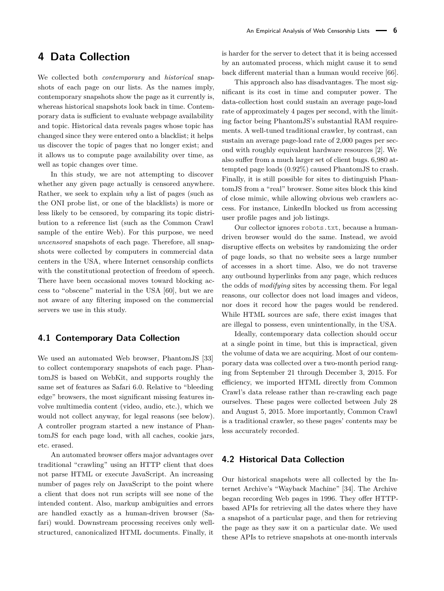# <span id="page-5-1"></span>**4 Data Collection**

We collected both *contemporary* and *historical* snapshots of each page on our lists. As the names imply, contemporary snapshots show the page as it currently is, whereas historical snapshots look back in time. Contemporary data is sufficient to evaluate webpage availability and topic. Historical data reveals pages whose topic has changed since they were entered onto a blacklist; it helps us discover the topic of pages that no longer exist; and it allows us to compute page availability over time, as well as topic changes over time.

In this study, we are not attempting to discover whether any given page actually is censored anywhere. Rather, we seek to explain *why* a list of pages (such as the ONI probe list, or one of the blacklists) is more or less likely to be censored, by comparing its topic distribution to a reference list (such as the Common Crawl sample of the entire Web). For this purpose, we need *uncensored* snapshots of each page. Therefore, all snapshots were collected by computers in commercial data centers in the USA, where Internet censorship conflicts with the constitutional protection of freedom of speech. There have been occasional moves toward blocking access to "obscene" material in the USA [\[60\]](#page-17-10), but we are not aware of any filtering imposed on the commercial servers we use in this study.

### <span id="page-5-0"></span>**4.1 Contemporary Data Collection**

We used an automated Web browser, PhantomJS [\[33\]](#page-16-18) to collect contemporary snapshots of each page. PhantomJS is based on WebKit, and supports roughly the same set of features as Safari 6.0. Relative to "bleeding edge" browsers, the most significant missing features involve multimedia content (video, audio, etc.), which we would not collect anyway, for legal reasons (see below). A controller program started a new instance of PhantomJS for each page load, with all caches, cookie jars, etc. erased.

An automated browser offers major advantages over traditional "crawling" using an HTTP client that does not parse HTML or execute JavaScript. An increasing number of pages rely on JavaScript to the point where a client that does not run scripts will see none of the intended content. Also, markup ambiguities and errors are handled exactly as a human-driven browser (Safari) would. Downstream processing receives only wellstructured, canonicalized HTML documents. Finally, it

is harder for the server to detect that it is being accessed by an automated process, which might cause it to send back different material than a human would receive [\[66\]](#page-17-11).

This approach also has disadvantages. The most significant is its cost in time and computer power. The data-collection host could sustain an average page-load rate of approximately 4 pages per second, with the limiting factor being PhantomJS's substantial RAM requirements. A well-tuned traditional crawler, by contrast, can sustain an average page-load rate of 2,000 pages per second with roughly equivalent hardware resources [\[2\]](#page-15-8). We also suffer from a much larger set of client bugs. 6,980 attempted page loads (0.92%) caused PhantomJS to crash. Finally, it is still possible for sites to distinguish PhantomJS from a "real" browser. Some sites block this kind of close mimic, while allowing obvious web crawlers access. For instance, LinkedIn blocked us from accessing user profile pages and job listings.

Our collector ignores robots.txt, because a humandriven browser would do the same. Instead, we avoid disruptive effects on websites by randomizing the order of page loads, so that no website sees a large number of accesses in a short time. Also, we do not traverse any outbound hyperlinks from any page, which reduces the odds of *modifying* sites by accessing them. For legal reasons, our collector does not load images and videos, nor does it record how the pages would be rendered. While HTML sources are safe, there exist images that are illegal to possess, even unintentionally, in the USA.

Ideally, contemporary data collection should occur at a single point in time, but this is impractical, given the volume of data we are acquiring. Most of our contemporary data was collected over a two-month period ranging from September 21 through December 3, 2015. For efficiency, we imported HTML directly from Common Crawl's data release rather than re-crawling each page ourselves. These pages were collected between July 28 and August 5, 2015. More importantly, Common Crawl is a traditional crawler, so these pages' contents may be less accurately recorded.

### <span id="page-5-2"></span>**4.2 Historical Data Collection**

Our historical snapshots were all collected by the Internet Archive's "Wayback Machine" [\[34\]](#page-16-19). The Archive began recording Web pages in 1996. They offer HTTPbased APIs for retrieving all the dates where they have a snapshot of a particular page, and then for retrieving the page as they saw it on a particular date. We used these APIs to retrieve snapshots at one-month intervals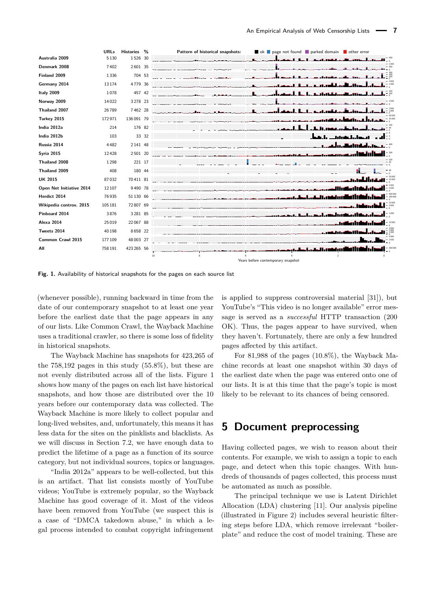<span id="page-6-1"></span>

**Fig. 1.** Availability of historical snapshots for the pages on each source list

(whenever possible), running backward in time from the date of our contemporary snapshot to at least one year before the earliest date that the page appears in any of our lists. Like Common Crawl, the Wayback Machine uses a traditional crawler, so there is some loss of fidelity in historical snapshots.

The Wayback Machine has snapshots for 423,265 of the 758,192 pages in this study (55.8%), but these are not evenly distributed across all of the lists. Figure [1](#page-6-1) shows how many of the pages on each list have historical snapshots, and how those are distributed over the 10 years before our contemporary data was collected. The Wayback Machine is more likely to collect popular and long-lived websites, and, unfortunately, this means it has less data for the sites on the pinklists and blacklists. As we will discuss in Section [7.2,](#page-12-0) we have enough data to predict the lifetime of a page as a function of its source category, but not individual sources, topics or languages.

"India 2012a" appears to be well-collected, but this is an artifact. That list consists mostly of YouTube videos; YouTube is extremely popular, so the Wayback Machine has good coverage of it. Most of the videos have been removed from YouTube (we suspect this is a case of "DMCA takedown abuse," in which a legal process intended to combat copyright infringement

is applied to suppress controversial material [\[31\]](#page-16-20)), but YouTube's "This video is no longer available" error message is served as a *successful* HTTP transaction (200 OK). Thus, the pages appear to have survived, when they haven't. Fortunately, there are only a few hundred pages affected by this artifact.

For 81,988 of the pages (10.8%), the Wayback Machine records at least one snapshot within 30 days of the earliest date when the page was entered onto one of our lists. It is at this time that the page's topic is most likely to be relevant to its chances of being censored.

## <span id="page-6-0"></span>**5 Document preprocessing**

Having collected pages, we wish to reason about their contents. For example, we wish to assign a topic to each page, and detect when this topic changes. With hundreds of thousands of pages collected, this process must be automated as much as possible.

The principal technique we use is Latent Dirichlet Allocation (LDA) clustering [\[11\]](#page-15-9). Our analysis pipeline (illustrated in Figure [2\)](#page-7-0) includes several heuristic filtering steps before LDA, which remove irrelevant "boilerplate" and reduce the cost of model training. These are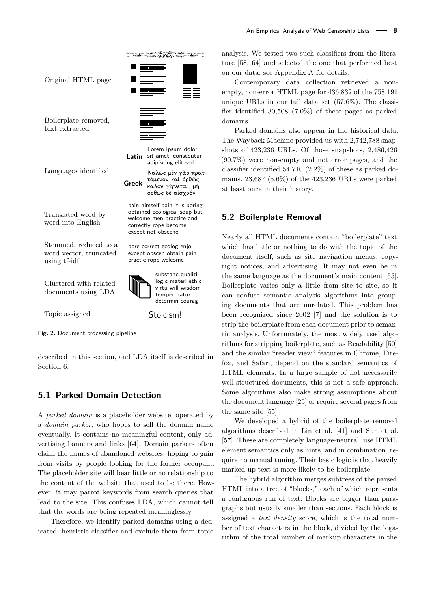<span id="page-7-0"></span>

**Fig. 2.** Document processing pipeline

described in this section, and LDA itself is described in Section [6.](#page-8-0)

### **5.1 Parked Domain Detection**

A *parked domain* is a placeholder website, operated by a *domain parker*, who hopes to sell the domain name eventually. It contains no meaningful content, only advertising banners and links [\[64\]](#page-17-12). Domain parkers often claim the names of abandoned websites, hoping to gain from visits by people looking for the former occupant. The placeholder site will bear little or no relationship to the content of the website that used to be there. However, it may parrot keywords from search queries that lead to the site. This confuses LDA, which cannot tell that the words are being repeated meaninglessly.

Therefore, we identify parked domains using a dedicated, heuristic classifier and exclude them from topic

analysis. We tested two such classifiers from the literature [\[58,](#page-17-13) [64\]](#page-17-12) and selected the one that performed best on our data; see Appendix [A](#page-17-14) for details.

Contemporary data collection retrieved a nonempty, non-error HTML page for 436,832 of the 758,191 unique URLs in our full data set  $(57.6\%)$ . The classifier identified 30,508 (7.0%) of these pages as parked domains.

Parked domains also appear in the historical data. The Wayback Machine provided us with 2,742,788 snapshots of 423,236 URLs. Of those snapshots, 2,486,426 (90.7%) were non-empty and not error pages, and the classifier identified 54,710 (2.2%) of these as parked domains. 23,687 (5.6%) of the 423,236 URLs were parked at least once in their history.

### **5.2 Boilerplate Removal**

Nearly all HTML documents contain "boilerplate" text which has little or nothing to do with the topic of the document itself, such as site navigation menus, copyright notices, and advertising. It may not even be in the same language as the document's main content [\[55\]](#page-17-15). Boilerplate varies only a little from site to site, so it can confuse semantic analysis algorithms into grouping documents that are unrelated. This problem has been recognized since 2002 [\[7\]](#page-15-10) and the solution is to strip the boilerplate from each document prior to semantic analysis. Unfortunately, the most widely used algorithms for stripping boilerplate, such as Readability [\[50\]](#page-16-21) and the similar "reader view" features in Chrome, Firefox, and Safari, depend on the standard semantics of HTML elements. In a large sample of not necessarily well-structured documents, this is not a safe approach. Some algorithms also make strong assumptions about the document language [\[25\]](#page-16-22) or require several pages from the same site [\[55\]](#page-17-15).

We developed a hybrid of the boilerplate removal algorithms described in Lin et al. [\[41\]](#page-16-23) and Sun et al. [\[57\]](#page-17-16). These are completely language-neutral, use HTML element semantics only as hints, and in combination, require no manual tuning. Their basic logic is that heavily marked-up text is more likely to be boilerplate.

The hybrid algorithm merges subtrees of the parsed HTML into a tree of "blocks," each of which represents a contiguous run of text. Blocks are bigger than paragraphs but usually smaller than sections. Each block is assigned a *text density* score, which is the total number of text characters in the block, divided by the logarithm of the total number of markup characters in the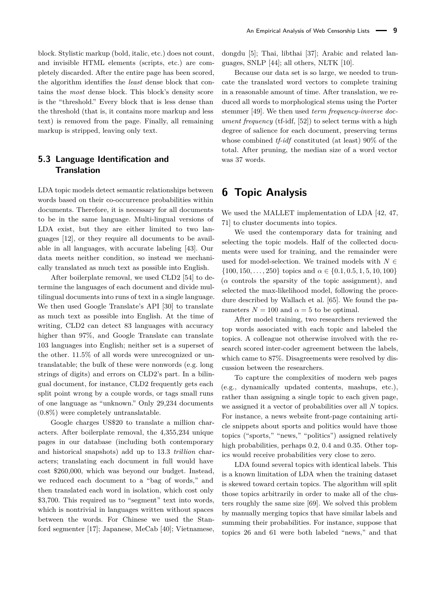block. Stylistic markup (bold, italic, etc.) does not count, and invisible HTML elements (scripts, etc.) are completely discarded. After the entire page has been scored, the algorithm identifies the *least* dense block that contains the *most* dense block. This block's density score is the "threshold." Every block that is less dense than the threshold (that is, it contains more markup and less text) is removed from the page. Finally, all remaining markup is stripped, leaving only text.

### **5.3 Language Identification and Translation**

LDA topic models detect semantic relationships between words based on their co-occurrence probabilities within documents. Therefore, it is necessary for all documents to be in the same language. Multi-lingual versions of LDA exist, but they are either limited to two languages [\[12\]](#page-15-11), or they require all documents to be available in all languages, with accurate labeling [\[43\]](#page-16-24). Our data meets neither condition, so instead we mechanically translated as much text as possible into English.

After boilerplate removal, we used CLD2 [\[54\]](#page-17-17) to determine the languages of each document and divide multilingual documents into runs of text in a single language. We then used Google Translate's API [\[30\]](#page-16-25) to translate as much text as possible into English. At the time of writing, CLD2 can detect 83 languages with accuracy higher than 97%, and Google Translate can translate 103 languages into English; neither set is a superset of the other. 11.5% of all words were unrecognized or untranslatable; the bulk of these were nonwords (e.g. long strings of digits) and errors on CLD2's part. In a bilingual document, for instance, CLD2 frequently gets each split point wrong by a couple words, or tags small runs of one language as "unknown." Only 29,234 documents (0.8%) were completely untranslatable.

Google charges US\$20 to translate a million characters. After boilerplate removal, the 4,355,234 unique pages in our database (including both contemporary and historical snapshots) add up to 13.3 *trillion* characters; translating each document in full would have cost \$260,000, which was beyond our budget. Instead, we reduced each document to a "bag of words," and then translated each word in isolation, which cost only \$3,700. This required us to "segment" text into words, which is nontrivial in languages written without spaces between the words. For Chinese we used the Stanford segmenter [\[17\]](#page-15-12); Japanese, MeCab [\[40\]](#page-16-26); Vietnamese, dongdu [\[5\]](#page-15-13); Thai, libthai [\[37\]](#page-16-27); Arabic and related languages, SNLP [\[44\]](#page-16-28); all others, NLTK [\[10\]](#page-15-14).

Because our data set is so large, we needed to truncate the translated word vectors to complete training in a reasonable amount of time. After translation, we reduced all words to morphological stems using the Porter stemmer [\[49\]](#page-16-29). We then used *term frequency-inverse document frequency* (tf-idf, [\[52\]](#page-17-18)) to select terms with a high degree of salience for each document, preserving terms whose combined *tf-idf* constituted (at least) 90% of the total. After pruning, the median size of a word vector was 37 words.

# <span id="page-8-0"></span>**6 Topic Analysis**

We used the MALLET implementation of LDA [\[42,](#page-16-30) [47,](#page-16-31) [71\]](#page-17-19) to cluster documents into topics.

We used the contemporary data for training and selecting the topic models. Half of the collected documents were used for training, and the remainder were used for model-selection. We trained models with  $N \in$ {100*,* 150*, . . . ,* 250} topics and *α* ∈ {0*.*1*,* 0*.*5*,* 1*,* 5*,* 10*,* 100} (*α* controls the sparsity of the topic assignment), and selected the max-likelihood model, following the procedure described by Wallach et al. [\[65\]](#page-17-20). We found the parameters  $N = 100$  and  $\alpha = 5$  to be optimal.

After model training, two researchers reviewed the top words associated with each topic and labeled the topics. A colleague not otherwise involved with the research scored inter-coder agreement between the labels, which came to 87%. Disagreements were resolved by discussion between the researchers.

To capture the complexities of modern web pages (e.g., dynamically updated contents, mashups, etc.), rather than assigning a single topic to each given page, we assigned it a vector of probabilities over all *N* topics. For instance, a news website front-page containing article snippets about sports and politics would have those topics ("sports," "news," "politics") assigned relatively high probabilities, perhaps 0.2, 0.4 and 0.35. Other topics would receive probabilities very close to zero.

LDA found several topics with identical labels. This is a known limitation of LDA when the training dataset is skewed toward certain topics. The algorithm will split those topics arbitrarily in order to make all of the clusters roughly the same size [\[69\]](#page-17-21). We solved this problem by manually merging topics that have similar labels and summing their probabilities. For instance, suppose that topics 26 and 61 were both labeled "news," and that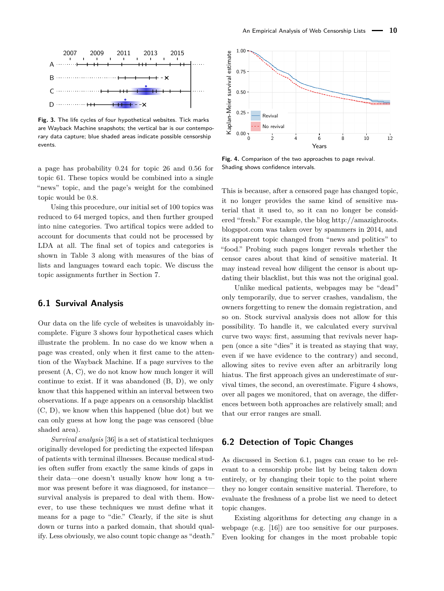<span id="page-9-0"></span>

**Fig. 3.** The life cycles of four hypothetical websites. Tick marks are Wayback Machine snapshots; the vertical bar is our contemporary data capture; blue shaded areas indicate possible censorship events.

a page has probability 0*.*24 for topic 26 and 0*.*56 for topic 61. These topics would be combined into a single "news" topic, and the page's weight for the combined topic would be 0*.*8.

Using this procedure, our initial set of 100 topics was reduced to 64 merged topics, and then further grouped into nine categories. Two artifical topics were added to account for documents that could not be processed by LDA at all. The final set of topics and categories is shown in Table [3](#page-11-0) along with measures of the bias of lists and languages toward each topic. We discuss the topic assignments further in Section [7.](#page-10-0)

### <span id="page-9-2"></span>**6.1 Survival Analysis**

Our data on the life cycle of websites is unavoidably incomplete. Figure [3](#page-9-0) shows four hypothetical cases which illustrate the problem. In no case do we know when a page was created, only when it first came to the attention of the Wayback Machine. If a page survives to the present (A, C), we do not know how much longer it will continue to exist. If it was abandoned (B, D), we only know that this happened within an interval between two observations. If a page appears on a censorship blacklist (C, D), we know when this happened (blue dot) but we can only guess at how long the page was censored (blue shaded area).

*Survival analysis* [\[36\]](#page-16-32) is a set of statistical techniques originally developed for predicting the expected lifespan of patients with terminal illnesses. Because medical studies often suffer from exactly the same kinds of gaps in their data—one doesn't usually know how long a tumor was present before it was diagnosed, for instance survival analysis is prepared to deal with them. However, to use these techniques we must define what it means for a page to "die." Clearly, if the site is shut down or turns into a parked domain, that should qualify. Less obviously, we also count topic change as "death."

<span id="page-9-1"></span>

**Fig. 4.** Comparison of the two approaches to page revival. Shading shows confidence intervals.

This is because, after a censored page has changed topic, it no longer provides the same kind of sensitive material that it used to, so it can no longer be considered "fresh." For example, the blog http://amazighroots. blogspot.com was taken over by spammers in 2014, and its apparent topic changed from "news and politics" to "food." Probing such pages longer reveals whether the censor cares about that kind of sensitive material. It may instead reveal how diligent the censor is about updating their blacklist, but this was not the original goal.

Unlike medical patients, webpages may be "dead" only temporarily, due to server crashes, vandalism, the owners forgetting to renew the domain registration, and so on. Stock survival analysis does not allow for this possibility. To handle it, we calculated every survival curve two ways: first, assuming that revivals never happen (once a site "dies" it is treated as staying that way, even if we have evidence to the contrary) and second, allowing sites to revive even after an arbitrarily long hiatus. The first approach gives an underestimate of survival times, the second, an overestimate. Figure [4](#page-9-1) shows, over all pages we monitored, that on average, the differences between both approaches are relatively small; and that our error ranges are small.

#### **6.2 Detection of Topic Changes**

As discussed in Section [6.1,](#page-9-2) pages can cease to be relevant to a censorship probe list by being taken down entirely, or by changing their topic to the point where they no longer contain sensitive material. Therefore, to evaluate the freshness of a probe list we need to detect topic changes.

Existing algorithms for detecting *any* change in a webpage (e.g. [\[16\]](#page-15-15)) are too sensitive for our purposes. Even looking for changes in the most probable topic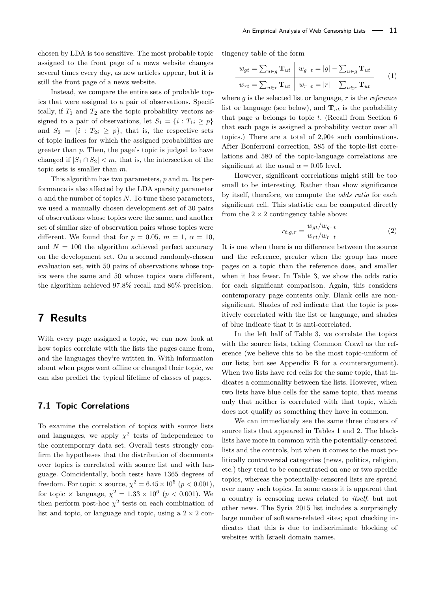chosen by LDA is too sensitive. The most probable topic assigned to the front page of a news website changes several times every day, as new articles appear, but it is still the front page of a news website.

Instead, we compare the entire sets of probable topics that were assigned to a pair of observations. Specifically, if  $T_1$  and  $T_2$  are the topic probability vectors assigned to a pair of observations, let  $S_1 = \{i : T_{1i} \geq p\}$ and  $S_2 = \{i : T_{2i} \geq p\}$ , that is, the respective sets of topic indices for which the assigned probabilities are greater than *p*. Then, the page's topic is judged to have changed if  $|S_1 \cap S_2|$  < m, that is, the intersection of the topic sets is smaller than *m*.

This algorithm has two parameters, *p* and *m*. Its performance is also affected by the LDA sparsity parameter  $\alpha$  and the number of topics *N*. To tune these parameters, we used a manually chosen development set of 30 pairs of observations whose topics were the same, and another set of similar size of observation pairs whose topics were different. We found that for  $p = 0.05$ ,  $m = 1$ ,  $\alpha = 10$ , and  $N = 100$  the algorithm achieved perfect accuracy on the development set. On a second randomly-chosen evaluation set, with 50 pairs of observations whose topics were the same and 50 whose topics were different, the algorithm achieved 97.8% recall and 86% precision.

# <span id="page-10-0"></span>**7 Results**

With every page assigned a topic, we can now look at how topics correlate with the lists the pages came from, and the languages they're written in. With information about when pages went offline or changed their topic, we can also predict the typical lifetime of classes of pages.

### **7.1 Topic Correlations**

To examine the correlation of topics with source lists and languages, we apply  $\chi^2$  tests of independence to the contemporary data set. Overall tests strongly confirm the hypotheses that the distribution of documents over topics is correlated with source list and with language. Coincidentally, both tests have 1365 degrees of freedom. For topic  $\times$  source,  $\chi^2 = 6.45 \times 10^5$  ( $p < 0.001$ ), for topic  $\times$  language,  $\chi^2 = 1.33 \times 10^6$  ( $p < 0.001$ ). We then perform post-hoc  $\chi^2$  tests on each combination of list and topic, or language and topic, using a  $2 \times 2$  contingency table of the form

$$
\frac{w_{gt} = \sum_{u \in g} \mathbf{T}_{ut}}{w_{rt} = \sum_{u \in r} \mathbf{T}_{ut}} \frac{w_{g \to t}}{w_{r \to t}} = |g| - \sum_{u \in g} \mathbf{T}_{ut}} \qquad (1)
$$

where *g* is the selected list or language, *r* is the *reference* list or language (see below), and  $\mathbf{T}_{ut}$  is the probability that page *u* belongs to topic *t*. (Recall from Section [6](#page-8-0) that each page is assigned a probability vector over all topics.) There are a total of 2,904 such combinations. After Bonferroni correction, 585 of the topic-list correlations and 580 of the topic-language correlations are significant at the usual  $\alpha = 0.05$  level.

However, significant correlations might still be too small to be interesting. Rather than show significance by itself, therefore, we compute the *odds ratio* for each significant cell. This statistic can be computed directly from the  $2 \times 2$  contingency table above:

$$
r_{t;g,r} = \frac{w_{gt}/w_{g\to t}}{w_{rt}/w_{r\to t}}\tag{2}
$$

It is one when there is no difference between the source and the reference, greater when the group has more pages on a topic than the reference does, and smaller when it has fewer. In Table [3,](#page-11-0) we show the odds ratio for each significant comparison. Again, this considers contemporary page contents only. Blank cells are nonsignificant. Shades of red indicate that the topic is positively correlated with the list or language, and shades of blue indicate that it is anti-correlated.

In the left half of Table [3,](#page-11-0) we correlate the topics with the source lists, taking Common Crawl as the reference (we believe this to be the most topic-uniform of our lists; but see Appendix [B](#page-18-0) for a counterargument). When two lists have red cells for the same topic, that indicates a commonality between the lists. However, when two lists have blue cells for the same topic, that means only that neither is correlated with that topic, which does not qualify as something they have in common.

We can immediately see the same three clusters of source lists that appeared in Tables [1](#page-4-0) and [2.](#page-4-1) The blacklists have more in common with the potentially-censored lists and the controls, but when it comes to the most politically controversial categories (news, politics, religion, etc.) they tend to be concentrated on one or two specific topics, whereas the potentially-censored lists are spread over many such topics. In some cases it is apparent that a country is censoring news related to *itself*, but not other news. The Syria 2015 list includes a surprisingly large number of software-related sites; spot checking indicates that this is due to indiscriminate blocking of websites with Israeli domain names.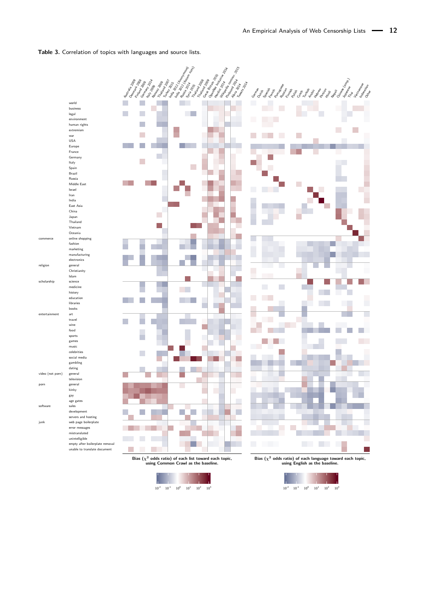<span id="page-11-0"></span>**Table 3.** Correlation of topics with languages and source lists.





 $10^{-2}$   $10^{-1}$   $10^{0}$   $10^{1}$   $10^{2}$   $10^{3}$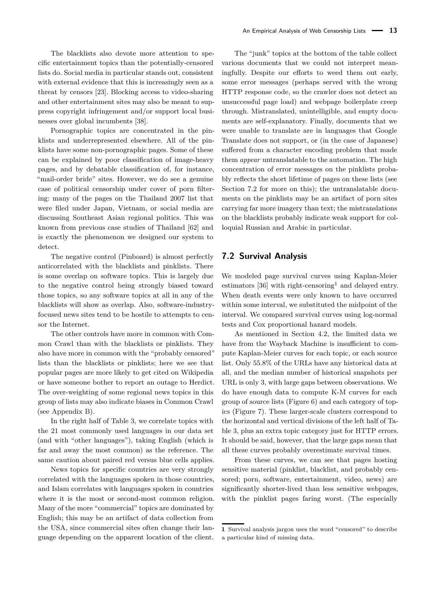The blacklists also devote more attention to specific entertainment topics than the potentially-censored lists do. Social media in particular stands out, consistent with external evidence that this is increasingly seen as a threat by censors [\[23\]](#page-16-33). Blocking access to video-sharing and other entertainment sites may also be meant to suppress copyright infringement and/or support local businesses over global incumbents [\[38\]](#page-16-13).

Pornographic topics are concentrated in the pinklists and underrepresented elsewhere. All of the pinklists have some non-pornographic pages. Some of these can be explained by poor classification of image-heavy pages, and by debatable classification of, for instance, "mail-order bride" sites. However, we do see a genuine case of political censorship under cover of porn filtering: many of the pages on the Thailand 2007 list that were filed under Japan, Vietnam, or social media are discussing Southeast Asian regional politics. This was known from previous case studies of Thailand [\[62\]](#page-17-22) and is exactly the phenomenon we designed our system to detect.

The negative control (Pinboard) is almost perfectly anticorrelated with the blacklists and pinklists. There is some overlap on software topics. This is largely due to the negative control being strongly biased toward those topics, so any software topics at all in any of the blacklists will show as overlap. Also, software-industryfocused news sites tend to be hostile to attempts to censor the Internet.

The other controls have more in common with Common Crawl than with the blacklists or pinklists. They also have more in common with the "probably censored" lists than the blacklists or pinklists; here we see that popular pages are more likely to get cited on Wikipedia or have someone bother to report an outage to Herdict. The over-weighting of some regional news topics in this group of lists may also indicate biases in Common Crawl (see Appendix [B\)](#page-18-0).

In the right half of Table [3,](#page-11-0) we correlate topics with the 21 most commonly used languages in our data set (and with "other languages"), taking English (which is far and away the most common) as the reference. The same caution about paired red versus blue cells applies.

News topics for specific countries are very strongly correlated with the languages spoken in those countries, and Islam correlates with languages spoken in countries where it is the most or second-most common religion. Many of the more "commercial" topics are dominated by English; this may be an artifact of data collection from the USA, since commercial sites often change their language depending on the apparent location of the client.

The "junk" topics at the bottom of the table collect various documents that we could not interpret meaningfully. Despite our efforts to weed them out early, some error messages (perhaps served with the wrong HTTP response code, so the crawler does not detect an unsuccessful page load) and webpage boilerplate creep through. Mistranslated, unintelligible, and empty documents are self-explanatory. Finally, documents that we were unable to translate are in languages that Google Translate does not support, or (in the case of Japanese) suffered from a character encoding problem that made them *appear* untranslatable to the automation. The high concentration of error messages on the pinklists probably reflects the short lifetime of pages on these lists (see Section [7.2](#page-12-0) for more on this); the untranslatable documents on the pinklists may be an artifact of porn sites carrying far more imagery than text; the mistranslations on the blacklists probably indicate weak support for colloquial Russian and Arabic in particular.

### <span id="page-12-0"></span>**7.2 Survival Analysis**

We modeled page survival curves using Kaplan-Meier estimators  $[36]$  with right-censoring<sup>[1](#page-12-1)</sup> and delayed entry. When death events were only known to have occurred within some interval, we substituted the midpoint of the interval. We compared survival curves using log-normal tests and Cox proportional hazard models.

As mentioned in Section [4.2,](#page-5-2) the limited data we have from the Wayback Machine is insufficient to compute Kaplan-Meier curves for each topic, or each source list. Only 55.8% of the URLs have any historical data at all, and the median number of historical snapshots per URL is only 3, with large gaps between observations. We do have enough data to compute K-M curves for each group of source lists (Figure [6\)](#page-13-0) and each category of topics (Figure [7\)](#page-13-1). These larger-scale clusters correspond to the horizontal and vertical divisions of the left half of Table [3,](#page-11-0) plus an extra topic category just for HTTP errors. It should be said, however, that the large gaps mean that all these curves probably overestimate survival times.

From these curves, we can see that pages hosting sensitive material (pinklist, blacklist, and probably censored; porn, software, entertainment, video, news) are significantly shorter-lived than less sensitive webpages, with the pinklist pages faring worst. (The especially

<span id="page-12-1"></span>**<sup>1</sup>** Survival analysis jargon uses the word "censored" to describe a particular kind of missing data.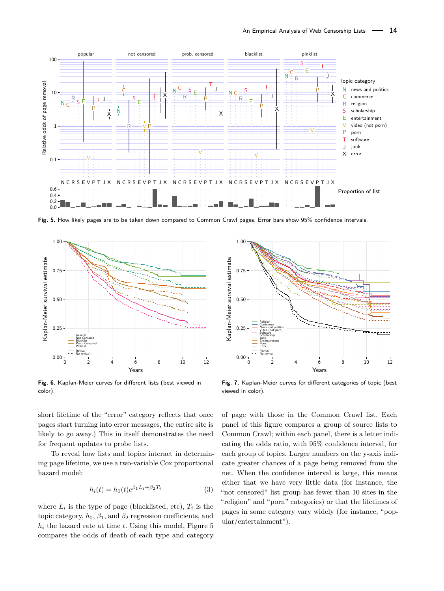<span id="page-13-2"></span>

**Fig. 5.** How likely pages are to be taken down compared to Common Crawl pages. Error bars show 95% confidence intervals.

<span id="page-13-0"></span>

**Fig. 6.** Kaplan-Meier curves for different lists (best viewed in color).

short lifetime of the "error" category reflects that once pages start turning into error messages, the entire site is likely to go away.) This in itself demonstrates the need for frequent updates to probe lists.

To reveal how lists and topics interact in determining page lifetime, we use a two-variable Cox proportional hazard model:

$$
h_i(t) = h_0(t)e^{\beta_1 L_i + \beta_2 T_i}
$$
 (3)

where  $L_i$  is the type of page (blacklisted, etc),  $T_i$  is the topic category,  $h_0$ ,  $\beta_1$ , and  $\beta_2$  regression coefficients, and  $h_i$  the hazard rate at time *t*. Using this model, Figure [5](#page-13-2) compares the odds of death of each type and category

<span id="page-13-1"></span>

**Fig. 7.** Kaplan-Meier curves for different categories of topic (best viewed in color).

of page with those in the Common Crawl list. Each panel of this figure compares a group of source lists to Common Crawl; within each panel, there is a letter indicating the odds ratio, with 95% confidence interval, for each group of topics. Larger numbers on the y-axis indicate greater chances of a page being removed from the net. When the confidence interval is large, this means either that we have very little data (for instance, the "not censored" list group has fewer than 10 sites in the "religion" and "porn" categories) or that the lifetimes of pages in some category vary widely (for instance, "popular/entertainment").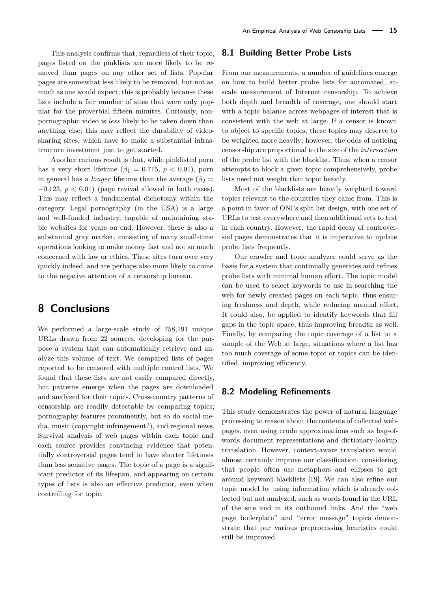This analysis confirms that, regardless of their topic, pages listed on the pinklists are more likely to be removed than pages on any other set of lists. Popular pages are somewhat less likely to be removed, but not as much as one would expect; this is probably because these lists include a fair number of sites that were only popular for the proverbial fifteen minutes. Curiously, nonpornographic video is *less* likely to be taken down than anything else; this may reflect the durability of videosharing sites, which have to make a substantial infrastructure investment just to get started.

Another curious result is that, while pinklisted porn has a very short lifetime  $(\beta_1 = 0.715, p < 0.01)$ , porn in general has a *longer* lifetime than the average ( $\beta_2$ ) −0*.*123, *p <* 0*.*01) (page revival allowed in both cases). This may reflect a fundamental dichotomy within the category. Legal pornography (in the USA) is a large and well-funded industry, capable of maintaining stable websites for years on end. However, there is also a substantial gray market, consisting of many small-time operations looking to make money fast and not so much concerned with law or ethics. These sites turn over very quickly indeed, and are perhaps also more likely to come to the negative attention of a censorship bureau.

# <span id="page-14-0"></span>**8 Conclusions**

We performed a large-scale study of 758,191 unique URLs drawn from 22 sources, developing for the purpose a system that can automatically retrieve and analyze this volume of text. We compared lists of pages reported to be censored with multiple control lists. We found that these lists are not easily compared directly, but patterns emerge when the pages are downloaded and analyzed for their topics. Cross-country patterns of censorship are readily detectable by comparing topics; pornography features prominently, but so do social media, music (copyright infringement?), and regional news. Survival analysis of web pages within each topic and each source provides convincing evidence that potentially controversial pages tend to have shorter lifetimes than less sensitive pages. The topic of a page is a significant predictor of its lifespan, and appearing on certain types of lists is also an effective predictor, even when controlling for topic.

#### **8.1 Building Better Probe Lists**

From our measurements, a number of guidelines emerge on how to build better probe lists for automated, atscale measurement of Internet censorship. To achieve both depth and breadth of coverage, one should start with a topic balance across webpages of interest that is consistent with the web at large. If a censor is known to object to specific topics, these topics may deserve to be weighted more heavily; however, the odds of noticing censorship are proportional to the size of the *intersection* of the probe list with the blacklist. Thus, when a censor attempts to block a given topic comprehensively, probe lists need not weight that topic heavily.

Most of the blacklists are heavily weighted toward topics relevant to the countries they came from. This is a point in favor of ONI's split list design, with one set of URLs to test everywhere and then additional sets to test in each country. However, the rapid decay of controversial pages demonstrates that it is imperative to update probe lists frequently.

Our crawler and topic analyzer could serve as the basis for a system that continually generates and refines probe lists with minimal human effort. The topic model can be used to select keywords to use in searching the web for newly created pages on each topic, thus ensuring freshness and depth, while reducing manual effort. It could also, be applied to identify keywords that fill gaps in the topic space, thus improving breadth as well. Finally, by comparing the topic coverage of a list to a sample of the Web at large, situations where a list has too much coverage of some topic or topics can be identified, improving efficiency.

### **8.2 Modeling Refinements**

This study demonstrates the power of natural language processing to reason about the contents of collected webpages, even using crude approximations such as bag-ofwords document representations and dictionary-lookup translation. However, context-aware translation would almost certainly improve our classification, considering that people often use metaphors and ellipses to get around keyword blacklists [\[19\]](#page-16-4). We can also refine our topic model by using information which is already collected but not analyzed, such as words found in the URL of the site and in its outbound links. And the "web page boilerplate" and "error message" topics demonstrate that our various preprocessing heuristics could still be improved.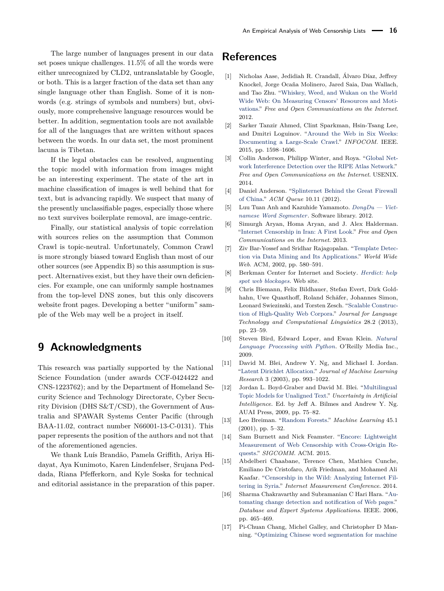The large number of languages present in our data set poses unique challenges. 11.5% of all the words were either unrecognized by CLD2, untranslatable by Google, or both. This is a larger fraction of the data set than any single language other than English. Some of it is nonwords (e.g. strings of symbols and numbers) but, obviously, more comprehensive language resources would be better. In addition, segmentation tools are not available for all of the languages that are written without spaces between the words. In our data set, the most prominent lacuna is Tibetan.

If the legal obstacles can be resolved, augmenting the topic model with information from images might be an interesting experiment. The state of the art in machine classification of images is well behind that for text, but is advancing rapidly. We suspect that many of the presently unclassifiable pages, especially those where no text survives boilerplate removal, are image-centric.

Finally, our statistical analysis of topic correlation with sources relies on the assumption that Common Crawl is topic-neutral. Unfortunately, Common Crawl is more strongly biased toward English than most of our other sources (see Appendix [B\)](#page-18-0) so this assumption is suspect. Alternatives exist, but they have their own deficiencies. For example, one can uniformly sample hostnames from the top-level DNS zones, but this only discovers website front pages. Developing a better "uniform" sample of the Web may well be a project in itself.

# **9 Acknowledgments**

This research was partially supported by the National Science Foundation (under awards CCF-0424422 and CNS-1223762); and by the Department of Homeland Security Science and Technology Directorate, Cyber Security Division (DHS S&T/CSD), the Government of Australia and SPAWAR Systems Center Pacific (through BAA-11.02, contract number N66001-13-C-0131). This paper represents the position of the authors and not that of the aforementioned agencies.

We thank Luís Brandão, Pamela Griffith, Ariya Hidayat, Aya Kunimoto, Karen Lindenfelser, Srujana Peddada, Riana Pfefferkorn, and Kyle Soska for technical and editorial assistance in the preparation of this paper.

### **References**

- <span id="page-15-0"></span>[1] Nicholas Aase, Jedidiah R. Crandall, Álvaro Díaz, Jeffrey Knockel, Jorge Ocaña Molinero, Jared Saia, Dan Wallach, and Tao Zhu. ["Whiskey, Weed, and Wukan on the World](https://www.usenix.org/system/files/conference/foci12/foci12-final17.pdf) [Wide Web: On Measuring Censors' Resources and Moti](https://www.usenix.org/system/files/conference/foci12/foci12-final17.pdf)[vations.](https://www.usenix.org/system/files/conference/foci12/foci12-final17.pdf)" *Free and Open Communications on the Internet*. 2012.
- <span id="page-15-8"></span>[2] Sarker Tanzir Ahmed, Clint Sparkman, Hsin-Tsang Lee, and Dmitri Loguinov. ["Around the Web in Six Weeks:](http://irl.cse.tamu.edu/people/tanzir/papers/infocom2015a.pdf) [Documenting a Large-Scale Crawl.](http://irl.cse.tamu.edu/people/tanzir/papers/infocom2015a.pdf)" *INFOCOM*. IEEE. 2015, pp. 1598–1606.
- <span id="page-15-5"></span>[3] Collin Anderson, Philipp Winter, and Roya. ["Global Net](https://www.usenix.org/system/files/conference/foci14/foci14-anderson.pdf)[work Interference Detection over the RIPE Atlas Network."](https://www.usenix.org/system/files/conference/foci14/foci14-anderson.pdf) *Free and Open Communications on the Internet*. USENIX. 2014.
- <span id="page-15-3"></span>[4] Daniel Anderson. ["Splinternet Behind the Great Firewall](http://queue.acm.org/detail.cfm?id=2405036) [of China."](http://queue.acm.org/detail.cfm?id=2405036) *ACM Queue* 10.11 (2012).
- <span id="page-15-13"></span>[5] Luu Tuan Anh and Kazuhide Yamamoto. *[DongDu — Viet](http://eng.jnlp.org/dongdu)[namese Word Segmenter](http://eng.jnlp.org/dongdu)*. Software library. 2012.
- <span id="page-15-4"></span>[6] Simurgh Aryan, Homa Aryan, and J. Alex Halderman. ["Internet Censorship in Iran: A First Look."](https://www.usenix.org/system/files/conference/foci13/foci13-aryan.pdf) *Free and Open Communications on the Internet*. 2013.
- <span id="page-15-10"></span>[7] Ziv Bar-Yossef and Sridhar Rajagopalan. ["Template Detec](http://dx.doi.org/10.1145/511446.511522)[tion via Data Mining and Its Applications.](http://dx.doi.org/10.1145/511446.511522)" *World Wide Web*. ACM, 2002, pp. 580–591.
- <span id="page-15-1"></span>[8] Berkman Center for Internet and Society. *[Herdict: help](https://www.herdict.org/) [spot web blockages](https://www.herdict.org/)*. Web site.
- <span id="page-15-7"></span>[9] Chris Biemann, Felix Bildhauer, Stefan Evert, Dirk Goldhahn, Uwe Quasthoff, Roland Schäfer, Johannes Simon, Leonard Swiezinski, and Torsten Zesch. ["Scalable Construc](http://www.jlcl.org/2013_Heft2/2Biemann.pdf)[tion of High-Quality Web Corpora.](http://www.jlcl.org/2013_Heft2/2Biemann.pdf)" *Journal for Language Technology and Computational Linguistics* 28.2 (2013), pp. 23–59.
- <span id="page-15-14"></span>[10] Steven Bird, Edward Loper, and Ewan Klein. *[Natural](http://www.nltk.org/) [Language Processing with Python](http://www.nltk.org/)*. O'Reilly Media Inc., 2009.
- <span id="page-15-9"></span>[11] David M. Blei, Andrew Y. Ng, and Michael I. Jordan. ["Latent Dirichlet Allocation."](http://www.jmlr.org/papers/v3/blei03a.html) *Journal of Machine Learning Research* 3 (2003), pp. 993–1022.
- <span id="page-15-11"></span>[12] Jordan L. Boyd-Graber and David M. Blei. ["Multilingual](http://uai.sis.pitt.edu/displayArticleDetails.jsp?mmnu=1&smnu=2&article_id=1644&proceeding_id=25) [Topic Models for Unaligned Text.](http://uai.sis.pitt.edu/displayArticleDetails.jsp?mmnu=1&smnu=2&article_id=1644&proceeding_id=25)" *Uncertainty in Artificial Intelligence*. Ed. by Jeff A. Bilmes and Andrew Y. Ng. AUAI Press, 2009, pp. 75–82.
- <span id="page-15-16"></span>[13] Leo Breiman. ["Random Forests.](http://dx.doi.org/10.1023/A:1010933404324)" *Machine Learning* 45.1 (2001), pp. 5–32.
- <span id="page-15-6"></span>[14] Sam Burnett and Nick Feamster. ["Encore: Lightweight](http://conferences.sigcomm.org/sigcomm/2015/pdf/papers/p653.pdf) [Measurement of Web Censorship with Cross-Origin Re](http://conferences.sigcomm.org/sigcomm/2015/pdf/papers/p653.pdf)[quests."](http://conferences.sigcomm.org/sigcomm/2015/pdf/papers/p653.pdf) *SIGCOMM*. ACM. 2015.
- <span id="page-15-2"></span>[15] Abdelberi Chaabane, Terence Chen, Mathieu Cunche, Emiliano De Cristofaro, Arik Friedman, and Mohamed Ali Kaafar. ["Censorship in the Wild: Analyzing Internet Fil](http://conferences2.sigcomm.org/imc/2014/papers/p285.pdf)[tering in Syria.](http://conferences2.sigcomm.org/imc/2014/papers/p285.pdf)" *Internet Measurement Conference*. 2014.
- <span id="page-15-15"></span>[16] Sharma Chakravarthy and Subramanian C Hari Hara. ["Au](http://dx.doi.org/10.1109/DEXA.2006.34)[tomating change detection and notification of Web pages."](http://dx.doi.org/10.1109/DEXA.2006.34) *Database and Expert Systems Applications*. IEEE. 2006, pp. 465–469.
- <span id="page-15-12"></span>[17] Pi-Chuan Chang, Michel Galley, and Christopher D Manning. ["Optimizing Chinese word segmentation for machine](http://statmt.org/wmt08/pdf/WMT36.pdf)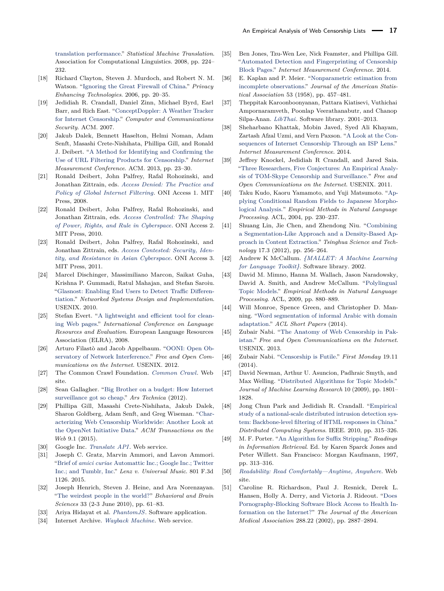[translation performance."](http://statmt.org/wmt08/pdf/WMT36.pdf) *Statistical Machine Translation*. Association for Computational Linguistics. 2008, pp. 224– 232.

- <span id="page-16-7"></span>[18] Richard Clayton, Steven J. Murdoch, and Robert N. M. Watson. ["Ignoring the Great Firewall of China.](http://freehaven.net/anonbib/cache/clayton:pet2006.pdf)" *Privacy Enhancing Technologies*. 2006, pp. 20–35.
- <span id="page-16-4"></span>[19] Jedidiah R. Crandall, Daniel Zinn, Michael Byrd, Earl Barr, and Rich East. ["ConceptDoppler: A Weather Tracker](http://www.cs.unm.edu/~crandall/concept_doppler_ccs07.pdf) [for Internet Censorship."](http://www.cs.unm.edu/~crandall/concept_doppler_ccs07.pdf) *Computer and Communications Security*. ACM. 2007.
- <span id="page-16-11"></span>[20] Jakub Dalek, Bennett Haselton, Helmi Noman, Adam Senft, Masashi Crete-Nishihata, Phillipa Gill, and Ronald J. Deibert. ["A Method for Identifying and Confirming the](http://www3.cs.stonybrook.edu/~phillipa/papers/imc112s-dalek.pdf) [Use of URL Filtering Products for Censorship."](http://www3.cs.stonybrook.edu/~phillipa/papers/imc112s-dalek.pdf) *Internet Measurement Conference*. ACM. 2013, pp. 23–30.
- <span id="page-16-1"></span>[21] Ronald Deibert, John Palfrey, Rafal Rohozinski, and Jonathan Zittrain, eds. *[Access Denied: The Practice and](http://access.opennet.net/denied/) [Policy of Global Internet Filtering](http://access.opennet.net/denied/)*. ONI Access 1. MIT Press, 2008.
- <span id="page-16-10"></span>[22] Ronald Deibert, John Palfrey, Rafal Rohozinski, and Jonathan Zittrain, eds. *[Access Controlled: The Shaping](http://access.opennet.net/controlled/) [of Power, Rights, and Rule in Cyberspace](http://access.opennet.net/controlled/)*. ONI Access 2. MIT Press, 2010.
- <span id="page-16-33"></span>[23] Ronald Deibert, John Palfrey, Rafal Rohozinski, and Jonathan Zittrain, eds. *[Access Contested: Security, Iden](http://access.opennet.net/controlled/)[tity, and Resistance in Asian Cyberspace](http://access.opennet.net/controlled/)*. ONI Access 3. MIT Press, 2011.
- <span id="page-16-14"></span>[24] Marcel Dischinger, Massimiliano Marcon, Saikat Guha, Krishna P. Gummadi, Ratul Mahajan, and Stefan Saroiu. ["Glasnost: Enabling End Users to Detect Traffic Differen](https://www.usenix.org/legacy/events/nsdi10/tech/full_papers/dischinger.pdf)[tiation."](https://www.usenix.org/legacy/events/nsdi10/tech/full_papers/dischinger.pdf) *Networked Systems Design and Implementation*. USENIX. 2010.
- <span id="page-16-22"></span>[25] Stefan Evert. ["A lightweight and efficient tool for clean](http://www.lrec-conf.org/proceedings/lrec2008/summaries/885.html)[ing Web pages.](http://www.lrec-conf.org/proceedings/lrec2008/summaries/885.html)" *International Conference on Language Resources and Evaluation*. European Language Resources Association (ELRA), 2008.
- <span id="page-16-15"></span>[26] Arturo Filastò and Jacob Appelbaum. ["OONI: Open Ob](https://www.usenix.org/conference/foci12/workshop-program/presentation/filast%5C%C3%5C%B2)[servatory of Network Interference.](https://www.usenix.org/conference/foci12/workshop-program/presentation/filast%5C%C3%5C%B2)" *Free and Open Communications on the Internet*. USENIX. 2012.
- <span id="page-16-17"></span>[27] The Common Crawl Foundation. *[Common Crawl](http://commoncrawl.org)*. Web site.
- <span id="page-16-0"></span>[28] Sean Gallagher. ["Big Brother on a budget: How Internet](http://arstechnica.com/information-technology/2012/09/big-brother-meets-big-data-the-next-wave-in-net-surveillance-tech/) [surveillance got so cheap."](http://arstechnica.com/information-technology/2012/09/big-brother-meets-big-data-the-next-wave-in-net-surveillance-tech/) *Ars Technica* (2012).
- <span id="page-16-2"></span>[29] Phillipa Gill, Masashi Crete-Nishihata, Jakub Dalek, Sharon Goldberg, Adam Senft, and Greg Wiseman. ["Char](http://spin2013.cs.sunysb.edu/~phillipa/papers/TWeb.pdf)[acterizing Web Censorship Worldwide: Another Look at](http://spin2013.cs.sunysb.edu/~phillipa/papers/TWeb.pdf) [the OpenNet Initiative Data.](http://spin2013.cs.sunysb.edu/~phillipa/papers/TWeb.pdf)" *ACM Transactions on the Web* 9.1 (2015).
- <span id="page-16-25"></span>[30] Google Inc. *[Translate API](https://cloud.google.com/translate/)*. Web service.
- <span id="page-16-20"></span>[31] Joseph C. Gratz, Marvin Ammori, and Lavon Ammori. "Brief of *amici curiae* [Automattic Inc.; Google Inc.; Twitter](https://www.eff.org/files/2013/12/17/048_automattic_google_twitter_tumblr_amicus_brief_12.13.13.pdf) [Inc.; and Tumblr, Inc.](https://www.eff.org/files/2013/12/17/048_automattic_google_twitter_tumblr_amicus_brief_12.13.13.pdf)" *Lenz v. Universal Music*. 801 F.3d 1126. 2015.
- <span id="page-16-16"></span>[32] Joseph Henrich, Steven J. Heine, and Ara Norenzayan. ["The weirdest people in the world?"](http://www2.psych.ubc.ca/~anlab/Manuscripts/Weird_People_BBS_Henrichetal_FullPackage.pdf) *Behavioral and Brain Sciences* 33 (2-3 June 2010), pp. 61–83.
- <span id="page-16-18"></span>[33] Ariya Hidayat et al. *[PhantomJS](http://phantomjs.org/)*. Software application.
- <span id="page-16-19"></span>[34] Internet Archive. *[Wayback Machine](https://archive.org/web/web.php)*. Web service.
- <span id="page-16-12"></span>[35] Ben Jones, Tzu-Wen Lee, Nick Feamster, and Phillipa Gill. ["Automated Detection and Fingerprinting of Censorship](http://conferences2.sigcomm.org/imc/2014/papers/p299.pdf) [Block Pages."](http://conferences2.sigcomm.org/imc/2014/papers/p299.pdf) *Internet Measurement Conference*. 2014.
- <span id="page-16-32"></span>[36] E. Kaplan and P. Meier. ["Nonparametric estimation from](https://www.jstor.org/stable/2281868) [incomplete observations.](https://www.jstor.org/stable/2281868)" *Journal of the American Statistical Association* 53 (1958), pp. 457–481.
- <span id="page-16-27"></span>[37] Theppitak Karoonboonyanan, Pattara Kiatisevi, Vuthichai Ampornaramveth, Poonlap Veerathanabutr, and Chanop Silpa-Anan. *[LibThai](http://linux.thai.net/projects/libthai)*. Software library. 2001–2013.
- <span id="page-16-13"></span>[38] Sheharbano Khattak, Mobin Javed, Syed Ali Khayam, Zartash Afzal Uzmi, and Vern Paxson. ["A Look at the Con](http://conferences2.sigcomm.org/imc/2014/papers/p271.pdf)[sequences of Internet Censorship Through an ISP Lens."](http://conferences2.sigcomm.org/imc/2014/papers/p271.pdf) *Internet Measurement Conference*. 2014.
- <span id="page-16-3"></span>[39] Jeffrey Knockel, Jedidiah R Crandall, and Jared Saia. ["Three Researchers, Five Conjectures: An Empirical Analy](http://static.usenix.org/events/foci11/tech/final_files/Knockel.pdf)[sis of TOM-Skype Censorship and Surveillance."](http://static.usenix.org/events/foci11/tech/final_files/Knockel.pdf) *Free and Open Communications on the Internet*. USENIX. 2011.
- <span id="page-16-26"></span>[40] Taku Kudo, Kaoru Yamamoto, and Yuji Matsumoto. ["Ap](http://chasen.org/~taku/publications/emnlp2004-2.pdf)[plying Conditional Random Fields to Japanese Morpho](http://chasen.org/~taku/publications/emnlp2004-2.pdf)[logical Analysis."](http://chasen.org/~taku/publications/emnlp2004-2.pdf) *Empirical Methods in Natural Language Processing*. ACL, 2004, pp. 230–237.
- <span id="page-16-23"></span>[41] Shuang Lin, Jie Chen, and Zhendong Niu. ["Combining](http://dx.doi.org/10.1109/TST.2012.6216755) [a Segmentation-Like Approach and a Density-Based Ap](http://dx.doi.org/10.1109/TST.2012.6216755)[proach in Content Extraction.](http://dx.doi.org/10.1109/TST.2012.6216755)" *Tsinghua Science and Technology* 17.3 (2012), pp. 256–264.
- <span id="page-16-30"></span>[42] Andrew K McCallum. *[{MALLET: A Machine Learning](http://mallet.cs.umass.edu/) [for Language Toolkit}](http://mallet.cs.umass.edu/)*. Software library. 2002.
- <span id="page-16-24"></span>[43] David M. Mimno, Hanna M. Wallach, Jason Naradowsky, David A. Smith, and Andrew McCallum. ["Polylingual](http://www.aclweb.org/anthology/D09-1092) [Topic Models.](http://www.aclweb.org/anthology/D09-1092)" *Empirical Methods in Natural Language Processing*. ACL, 2009, pp. 880–889.
- <span id="page-16-28"></span>[44] Will Monroe, Spence Green, and Christopher D. Manning. ["Word segmentation of informal Arabic with domain](http://nlp.stanford.edu/pubs/monroe-green-manning-acls2014.pdf) [adaptation."](http://nlp.stanford.edu/pubs/monroe-green-manning-acls2014.pdf) *ACL Short Papers* (2014).
- <span id="page-16-5"></span>[45] Zubair Nabi. ["The Anatomy of Web Censorship in Pak](https://www.usenix.org/conference/foci13/workshop-program/presentation/nabi)[istan.](https://www.usenix.org/conference/foci13/workshop-program/presentation/nabi)" *Free and Open Communications on the Internet*. USENIX. 2013.
- <span id="page-16-9"></span>[46] Zubair Nabi. ["Censorship is Futile."](http://firstmonday.org/ojs/index.php/fm/article/view/5525/4155) *First Monday* 19.11  $(2014)$ .
- <span id="page-16-31"></span>[47] David Newman, Arthur U. Asuncion, Padhraic Smyth, and Max Welling. ["Distributed Algorithms for Topic Models."](http://doi.acm.org/10.1145/1577069.1755845) *Journal of Machine Learning Research* 10 (2009), pp. 1801– 1828.
- <span id="page-16-8"></span>[48] Jong Chun Park and Jedidiah R. Crandall. ["Empirical](http://iar.cs.unm.edu/~crandall/icdcs2010.pdf) [study of a national-scale distributed intrusion detection sys](http://iar.cs.unm.edu/~crandall/icdcs2010.pdf)[tem: Backbone-level filtering of HTML responses in China."](http://iar.cs.unm.edu/~crandall/icdcs2010.pdf) *Distributed Computing Systems*. IEEE. 2010, pp. 315–326.
- <span id="page-16-29"></span>[49] M. F. Porter. ["An Algorithm for Suffix Stripping."](http://dl.acm.org/citation.cfm?id=275537.275705) *Readings in Information Retrieval*. Ed. by Karen Sparck Jones and Peter Willett. San Francisco: Morgan Kaufmann, 1997, pp. 313–316.
- <span id="page-16-21"></span>[50] *[Readability: Read Comfortably—Anytime, Anywhere](https://readability.com/about)*. Web site.
- <span id="page-16-6"></span>[51] Caroline R. Richardson, Paul J. Resnick, Derek L. Hansen, Holly A. Derry, and Victoria J. Rideout. ["Does](http://dx.doi.org/10.1001/jama.288.22.2887) [Pornography-Blocking Software Block Access to Health In](http://dx.doi.org/10.1001/jama.288.22.2887)[formation on the Internet?"](http://dx.doi.org/10.1001/jama.288.22.2887) *The Journal of the American Medical Association* 288.22 (2002), pp. 2887–2894.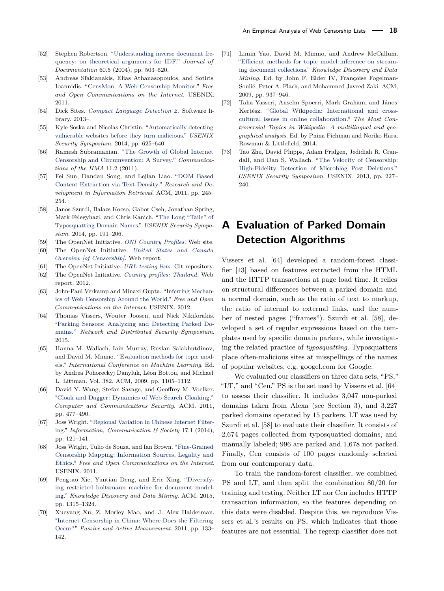- <span id="page-17-18"></span>[52] Stephen Robertson. ["Understanding inverse document fre](http://dx.doi.org/10.1108/00220410410560582)[quency: on theoretical arguments for IDF.](http://dx.doi.org/10.1108/00220410410560582)" *Journal of Documentation* 60.5 (2004), pp. 503–520.
- <span id="page-17-8"></span>[53] Andreas Sfakianakis, Elias Athanasopoulos, and Sotiris Ioannidis. ["CensMon: A Web Censorship Monitor.](https://www.usenix.org/legacy/event/foci11/tech/final_files/Sfakianakis.pdf)" *Free and Open Communications on the Internet*. USENIX. 2011.
- <span id="page-17-17"></span>[54] Dick Sites. *[Compact Language Detection 2](https://code.google.com/p/cld2/)* . Software library. 2013–.
- <span id="page-17-15"></span>[55] Kyle Soska and Nicolas Christin. ["Automatically detecting](https://www.usenix.org/system/files/conference/usenixsecurity14/sec14-paper-soska.pdf) [vulnerable websites before they turn malicious.](https://www.usenix.org/system/files/conference/usenixsecurity14/sec14-paper-soska.pdf)" *USENIX Security Symposium*. 2014, pp. 625–640.
- <span id="page-17-0"></span>[56] Ramesh Subramanian. ["The Growth of Global Internet](http://scholarworks.lib.csusb.edu/ciima/vol11/iss2/6/) [Censorship and Circumvention: A Survey."](http://scholarworks.lib.csusb.edu/ciima/vol11/iss2/6/) *Communications of the IIMA* 11.2 (2011).
- <span id="page-17-16"></span>[57] Fei Sun, Dandan Song, and Lejian Liao. ["DOM Based](http://www.ofey.me/papers/cetd-sigir11.pdf) [Content Extraction via Text Density."](http://www.ofey.me/papers/cetd-sigir11.pdf) *Research and Development in Information Retrieval*. ACM, 2011, pp. 245– 254.
- <span id="page-17-13"></span>[58] Janos Szurdi, Balazs Kocso, Gabor Cseh, Jonathan Spring, Mark Felegyhazi, and Chris Kanich. ["The Long "Taile" of](https://www.usenix.org/system/files/conference/usenixsecurity14/sec14-paper-szurdi.pdf) [Typosquatting Domain Names.](https://www.usenix.org/system/files/conference/usenixsecurity14/sec14-paper-szurdi.pdf)" *USENIX Security Symposium*. 2014, pp. 191–206.
- <span id="page-17-1"></span>[59] The OpenNet Initiative. *[ONI Country Profiles](https://opennet.net/research/profiles)*. Web site.
- <span id="page-17-10"></span>[60] The OpenNet Initiative. *[United States and Canada](https://opennet.net/research/regions/namerica) [Overview \[of Censorship\]](https://opennet.net/research/regions/namerica)*. Web report.
- <span id="page-17-2"></span>[61] The OpenNet Initiative. *[URL testing lists](https://github.com/citizenlab/test-lists/)*. Git repository.
- <span id="page-17-22"></span>[62] The OpenNet Initiative. *[Country profiles: Thailand](https://opennet.net/research/profiles/thailand)*. Web report. 2012.
- <span id="page-17-6"></span>[63] John-Paul Verkamp and Minaxi Gupta. ["Inferring Mechan](https://www.usenix.org/conference/foci12/workshop-program/presentation/verkamp)[ics of Web Censorship Around the World."](https://www.usenix.org/conference/foci12/workshop-program/presentation/verkamp) *Free and Open Communications on the Internet*. USENIX. 2012.
- <span id="page-17-12"></span>[64] Thomas Vissers, Wouter Joosen, and Nick Nikiforakis. ["Parking Sensors: Analyzing and Detecting Parked Do](http://www.internetsociety.org/sites/default/files/01_2_2.pdf)[mains."](http://www.internetsociety.org/sites/default/files/01_2_2.pdf) *Network and Distributed Security Symposium*. 2015.
- <span id="page-17-20"></span>[65] Hanna M. Wallach, Iain Murray, Ruslan Salakhutdinov, and David M. Mimno. ["Evaluation methods for topic mod](http://doi.acm.org/10.1145/1553374.1553515)[els."](http://doi.acm.org/10.1145/1553374.1553515) *International Conference on Machine Learning*. Ed. by Andrea Pohoreckyj Danyluk, Léon Bottou, and Michael L. Littman. Vol. 382. ACM, 2009, pp. 1105–1112.
- <span id="page-17-11"></span>[66] David Y. Wang, Stefan Savage, and Geoffrey M. Voelker. ["Cloak and Dagger: Dynamics of Web Search Cloaking.](http://cseweb.ucsd.edu/~voelker/pubs/cloaking-ccs11.pdf)" *Computer and Communications Security*. ACM. 2011, pp. 477–490.
- <span id="page-17-4"></span>[67] Joss Wright. ["Regional Variation in Chinese Internet Filter](http://ssrn.com/abstract=2265775)[ing.](http://ssrn.com/abstract=2265775)" *Information, Communication & Society* 17.1 (2014), pp. 121–141.
- <span id="page-17-7"></span>[68] Joss Wright, Tulio de Souza, and Ian Brown. ["Fine-Grained](https://www.usenix.org/legacy/event/foci11/tech/final_files/Wright.pdf) [Censorship Mapping: Information Sources, Legality and](https://www.usenix.org/legacy/event/foci11/tech/final_files/Wright.pdf) [Ethics.](https://www.usenix.org/legacy/event/foci11/tech/final_files/Wright.pdf)" *Free and Open Communications on the Internet*. USENIX. 2011.
- <span id="page-17-21"></span>[69] Pengtao Xie, Yuntian Deng, and Eric Xing. ["Diversify](http://dx.doi.org/10.1145/2783258.2783264)[ing restricted boltzmann machine for document model](http://dx.doi.org/10.1145/2783258.2783264)[ing.](http://dx.doi.org/10.1145/2783258.2783264)" *Knowledge Discovery and Data Mining*. ACM. 2015, pp. 1315–1324.
- <span id="page-17-5"></span>[70] Xueyang Xu, Z. Morley Mao, and J. Alex Halderman. ["Internet Censorship in China: Where Does the Filtering](http://pam2011.gatech.edu/papers/pam2011--Xu.pdf) [Occur?"](http://pam2011.gatech.edu/papers/pam2011--Xu.pdf) *Passive and Active Measurement*. 2011, pp. 133– 142.
- <span id="page-17-19"></span>[71] Limin Yao, David M. Mimno, and Andrew McCallum. ["Efficient methods for topic model inference on stream](http://doi.acm.org/10.1145/1557019.1557121)[ing document collections."](http://doi.acm.org/10.1145/1557019.1557121) *Knowledge Discovery and Data Mining*. Ed. by John F. Elder IV, Françoise Fogelman-Soulié, Peter A. Flach, and Mohammed Javeed Zaki. ACM, 2009, pp. 937–946.
- <span id="page-17-9"></span>[72] Taha Yasseri, Anselm Spoerri, Mark Graham, and János Kertész. ["Global Wikipedia: International and cross](https://arxiv.org/abs/1305.5566)[cultural issues in online collaboration.](https://arxiv.org/abs/1305.5566)" *The Most Controversial Topics in Wikipedia: A multilingual and geographical analysis*. Ed. by Pnina Fichman and Noriko Hara. Rowman & Littlefield, 2014.
- <span id="page-17-3"></span>[73] Tao Zhu, David Phipps, Adam Pridgen, Jedidiah R. Crandall, and Dan S. Wallach. ["The Velocity of Censorship:](https://www.usenix.org/conference/usenixsecurity13/technical-sessions/paper/zhu) [High-Fidelity Detection of Microblog Post Deletions."](https://www.usenix.org/conference/usenixsecurity13/technical-sessions/paper/zhu) *USENIX Security Symposium*. USENIX. 2013, pp. 227– 240.

# <span id="page-17-14"></span>**A Evaluation of Parked Domain Detection Algorithms**

Vissers et al. [\[64\]](#page-17-12) developed a random-forest classifier [\[13\]](#page-15-16) based on features extracted from the HTML and the HTTP transactions at page load time. It relies on structural differences between a parked domain and a normal domain, such as the ratio of text to markup, the ratio of internal to external links, and the number of nested pages ("frames"). Szurdi et al. [\[58\]](#page-17-13), developed a set of regular expressions based on the templates used by specific domain parkers, while investigating the related practice of *typosquatting*. Typosquatters place often-malicious sites at misspellings of the names of popular websites, e.g. googel.com for Google.

We evaluated our classifiers on three data sets, "PS," "LT," and "Cen." PS is the set used by Vissers et al. [\[64\]](#page-17-12) to assess their classifier. It includes 3,047 non-parked domains taken from Alexa (see Section [3\)](#page-2-0), and 3,227 parked domains operated by 15 parkers. LT was used by Szurdi et al. [\[58\]](#page-17-13) to evaluate their classifier. It consists of 2,674 pages collected from typosquatted domains, and manually labeled; 996 are parked and 1,678 not parked. Finally, Cen consists of 100 pages randomly selected from our contemporary data.

To train the random-forest classifier, we combined PS and LT, and then split the combination 80/20 for training and testing. Neither LT nor Cen includes HTTP transaction information, so the features depending on this data were disabled. Despite this, we reproduce Vissers et al.'s results on PS, which indicates that those features are not essential. The regexp classifier does not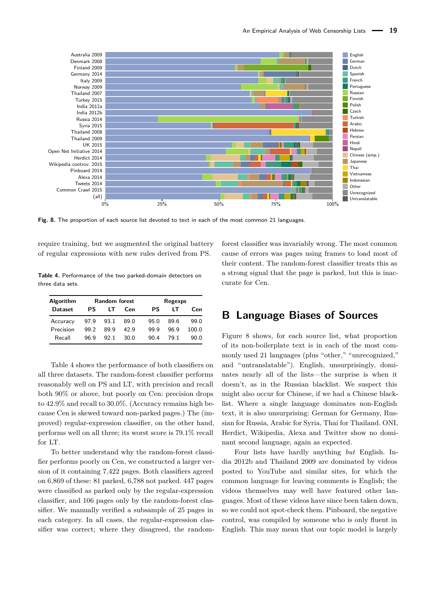<span id="page-18-2"></span>

**Fig. 8.** The proportion of each source list devoted to text in each of the most common 21 languages.

require training, but we augmented the original battery of regular expressions with new rules derived from PS.

<span id="page-18-1"></span>**Table 4.** Performance of the two parked-domain detectors on three data sets.

| Algorithm      |      | <b>Random forest</b> |      | Regexps |      |       |  |  |  |  |  |  |
|----------------|------|----------------------|------|---------|------|-------|--|--|--|--|--|--|
| <b>Dataset</b> | PS   | ıт                   | Cen  | РS      | ıт   | Cen   |  |  |  |  |  |  |
| Accuracy       | 97.9 | 93.1                 | 89.0 | 95.0    | 89 R | 99.0  |  |  |  |  |  |  |
| Precision      | 99 2 | 89 Q                 | 42 Q | 99 9    | 96.9 | 100.0 |  |  |  |  |  |  |
| Recall         | 96.9 | 92 1                 | 30 O | 90.4    | 79 1 | 90.0  |  |  |  |  |  |  |

Table [4](#page-18-1) shows the performance of both classifiers on all three datasets. The random-forest classifier performs reasonably well on PS and LT, with precision and recall both 90% or above, but poorly on Cen: precision drops to 42.9% and recall to 30.0%. (Accuracy remains high because Cen is skewed toward non-parked pages.) The (improved) regular-expression classifier, on the other hand, performs well on all three; its worst score is 79.1% recall for LT.

To better understand why the random-forest classifier performs poorly on Cen, we constructed a larger version of it containing 7,422 pages. Both classifiers agreed on 6,869 of these: 81 parked, 6,788 not parked. 447 pages were classified as parked only by the regular-expression classifier, and 106 pages only by the random-forest classifier. We manually verified a subsample of 25 pages in each category. In all cases, the regular-expression classifier was correct; where they disagreed, the randomforest classifier was invariably wrong. The most common cause of errors was pages using frames to load most of their content. The random-forest classifier treats this as a strong signal that the page is parked, but this is inaccurate for Cen.

## <span id="page-18-0"></span>**B Language Biases of Sources**

Figure [8](#page-18-2) shows, for each source list, what proportion of its non-boilerplate text is in each of the most commonly used 21 languages (plus "other," "unrecognized," and "untranslatable"). English, unsurprisingly, dominates nearly all of the lists—the surprise is when it doesn't, as in the Russian blacklist. We suspect this might also occur for Chinese, if we had a Chinese blacklist. Where a single language dominates non-English text, it is also unsurprising: German for Germany, Russian for Russia, Arabic for Syria, Thai for Thailand. ONI, Herdict, Wikipedia, Alexa and Twitter show no dominant second language, again as expected.

Four lists have hardly anything *but* English. India 2012b and Thailand 2009 are dominated by videos posted to YouTube and similar sites, for which the common language for leaving comments is English; the videos themselves may well have featured other languages. Most of these videos have since been taken down, so we could not spot-check them. Pinboard, the negative control, was compiled by someone who is only fluent in English. This may mean that our topic model is largely